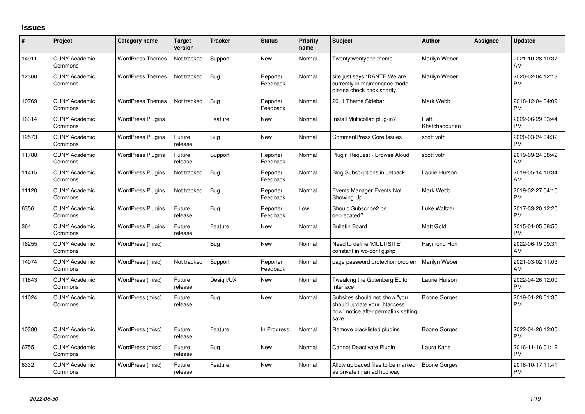## **Issues**

| #     | Project                         | <b>Category name</b>     | <b>Target</b><br>version | <b>Tracker</b> | <b>Status</b>        | Priority<br>name | <b>Subject</b>                                                                                               | <b>Author</b>           | Assignee | <b>Updated</b>                |
|-------|---------------------------------|--------------------------|--------------------------|----------------|----------------------|------------------|--------------------------------------------------------------------------------------------------------------|-------------------------|----------|-------------------------------|
| 14911 | <b>CUNY Academic</b><br>Commons | <b>WordPress Themes</b>  | Not tracked              | Support        | New                  | Normal           | Twentytwentyone theme                                                                                        | Marilyn Weber           |          | 2021-10-28 10:37<br>AM        |
| 12360 | <b>CUNY Academic</b><br>Commons | <b>WordPress Themes</b>  | Not tracked              | Bug            | Reporter<br>Feedback | Normal           | site just says "DANTE We are<br>currently in maintenance mode,<br>please check back shortly."                | Marilyn Weber           |          | 2020-02-04 12:13<br><b>PM</b> |
| 10769 | <b>CUNY Academic</b><br>Commons | <b>WordPress Themes</b>  | Not tracked              | <b>Bug</b>     | Reporter<br>Feedback | Normal           | 2011 Theme Sidebar                                                                                           | Mark Webb               |          | 2018-12-04 04:09<br><b>PM</b> |
| 16314 | <b>CUNY Academic</b><br>Commons | <b>WordPress Plugins</b> |                          | Feature        | New                  | Normal           | Install Multicollab plug-in?                                                                                 | Raffi<br>Khatchadourian |          | 2022-06-29 03:44<br><b>PM</b> |
| 12573 | <b>CUNY Academic</b><br>Commons | <b>WordPress Plugins</b> | Future<br>release        | Bug            | <b>New</b>           | Normal           | <b>CommentPress Core Issues</b>                                                                              | scott voth              |          | 2020-03-24 04:32<br><b>PM</b> |
| 11788 | <b>CUNY Academic</b><br>Commons | <b>WordPress Plugins</b> | Future<br>release        | Support        | Reporter<br>Feedback | Normal           | Plugin Request - Browse Aloud                                                                                | scott voth              |          | 2019-09-24 08:42<br><b>AM</b> |
| 11415 | <b>CUNY Academic</b><br>Commons | <b>WordPress Plugins</b> | Not tracked              | <b>Bug</b>     | Reporter<br>Feedback | Normal           | <b>Blog Subscriptions in Jetpack</b>                                                                         | Laurie Hurson           |          | 2019-05-14 10:34<br>AM        |
| 11120 | <b>CUNY Academic</b><br>Commons | <b>WordPress Plugins</b> | Not tracked              | Bug            | Reporter<br>Feedback | Normal           | Events Manager Events Not<br>Showing Up                                                                      | Mark Webb               |          | 2019-02-27 04:10<br><b>PM</b> |
| 6356  | <b>CUNY Academic</b><br>Commons | <b>WordPress Plugins</b> | Future<br>release        | Bug            | Reporter<br>Feedback | Low              | Should Subscribe2 be<br>deprecated?                                                                          | Luke Waltzer            |          | 2017-03-20 12:20<br><b>PM</b> |
| 364   | <b>CUNY Academic</b><br>Commons | <b>WordPress Plugins</b> | Future<br>release        | Feature        | New                  | Normal           | <b>Bulletin Board</b>                                                                                        | <b>Matt Gold</b>        |          | 2015-01-05 08:50<br><b>PM</b> |
| 16255 | <b>CUNY Academic</b><br>Commons | WordPress (misc)         |                          | Bug            | <b>New</b>           | Normal           | Need to define 'MULTISITE'<br>constant in wp-config.php                                                      | Raymond Hoh             |          | 2022-06-19 09:31<br>AM        |
| 14074 | <b>CUNY Academic</b><br>Commons | WordPress (misc)         | Not tracked              | Support        | Reporter<br>Feedback | Normal           | page password protection problem                                                                             | Marilyn Weber           |          | 2021-03-02 11:03<br>AM        |
| 11843 | <b>CUNY Academic</b><br>Commons | WordPress (misc)         | Future<br>release        | Design/UX      | <b>New</b>           | Normal           | Tweaking the Gutenberg Editor<br>Interface                                                                   | Laurie Hurson           |          | 2022-04-26 12:00<br><b>PM</b> |
| 11024 | <b>CUNY Academic</b><br>Commons | WordPress (misc)         | Future<br>release        | Bug            | <b>New</b>           | Normal           | Subsites should not show "you<br>should update your .htaccess<br>now" notice after permalink setting<br>save | <b>Boone Gorges</b>     |          | 2019-01-28 01:35<br><b>PM</b> |
| 10380 | <b>CUNY Academic</b><br>Commons | WordPress (misc)         | Future<br>release        | Feature        | In Progress          | Normal           | Remove blacklisted plugins                                                                                   | <b>Boone Gorges</b>     |          | 2022-04-26 12:00<br><b>PM</b> |
| 6755  | <b>CUNY Academic</b><br>Commons | WordPress (misc)         | Future<br>release        | Bug            | New                  | Normal           | Cannot Deactivate Plugin                                                                                     | Laura Kane              |          | 2016-11-16 01:12<br><b>PM</b> |
| 6332  | <b>CUNY Academic</b><br>Commons | WordPress (misc)         | Future<br>release        | Feature        | <b>New</b>           | Normal           | Allow uploaded files to be marked<br>as private in an ad hoc way                                             | Boone Gorges            |          | 2016-10-17 11:41<br><b>PM</b> |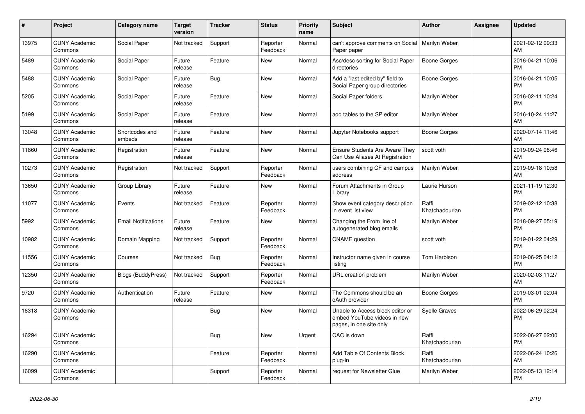| $\#$  | Project                         | <b>Category name</b>       | <b>Target</b><br>version | <b>Tracker</b> | <b>Status</b>        | <b>Priority</b><br>name | <b>Subject</b>                                                                             | <b>Author</b>           | <b>Assignee</b> | <b>Updated</b>                |
|-------|---------------------------------|----------------------------|--------------------------|----------------|----------------------|-------------------------|--------------------------------------------------------------------------------------------|-------------------------|-----------------|-------------------------------|
| 13975 | <b>CUNY Academic</b><br>Commons | Social Paper               | Not tracked              | Support        | Reporter<br>Feedback | Normal                  | can't approve comments on Social<br>Paper paper                                            | Marilyn Weber           |                 | 2021-02-12 09:33<br>AM        |
| 5489  | <b>CUNY Academic</b><br>Commons | Social Paper               | Future<br>release        | Feature        | New                  | Normal                  | Asc/desc sorting for Social Paper<br>directories                                           | Boone Gorges            |                 | 2016-04-21 10:06<br><b>PM</b> |
| 5488  | <b>CUNY Academic</b><br>Commons | Social Paper               | Future<br>release        | Bug            | <b>New</b>           | Normal                  | Add a "last edited by" field to<br>Social Paper group directories                          | Boone Gorges            |                 | 2016-04-21 10:05<br><b>PM</b> |
| 5205  | <b>CUNY Academic</b><br>Commons | Social Paper               | Future<br>release        | Feature        | <b>New</b>           | Normal                  | Social Paper folders                                                                       | Marilyn Weber           |                 | 2016-02-11 10:24<br><b>PM</b> |
| 5199  | <b>CUNY Academic</b><br>Commons | Social Paper               | Future<br>release        | Feature        | New                  | Normal                  | add tables to the SP editor                                                                | Marilyn Weber           |                 | 2016-10-24 11:27<br>AM        |
| 13048 | <b>CUNY Academic</b><br>Commons | Shortcodes and<br>embeds   | Future<br>release        | Feature        | <b>New</b>           | Normal                  | Jupyter Notebooks support                                                                  | Boone Gorges            |                 | 2020-07-14 11:46<br>AM        |
| 11860 | <b>CUNY Academic</b><br>Commons | Registration               | Future<br>release        | Feature        | <b>New</b>           | Normal                  | <b>Ensure Students Are Aware They</b><br>Can Use Aliases At Registration                   | scott voth              |                 | 2019-09-24 08:46<br>AM        |
| 10273 | <b>CUNY Academic</b><br>Commons | Registration               | Not tracked              | Support        | Reporter<br>Feedback | Normal                  | users combining CF and campus<br>address                                                   | Marilyn Weber           |                 | 2019-09-18 10:58<br>AM        |
| 13650 | <b>CUNY Academic</b><br>Commons | Group Library              | Future<br>release        | Feature        | New                  | Normal                  | Forum Attachments in Group<br>Library                                                      | Laurie Hurson           |                 | 2021-11-19 12:30<br><b>PM</b> |
| 11077 | <b>CUNY Academic</b><br>Commons | Events                     | Not tracked              | Feature        | Reporter<br>Feedback | Normal                  | Show event category description<br>in event list view                                      | Raffi<br>Khatchadourian |                 | 2019-02-12 10:38<br><b>PM</b> |
| 5992  | <b>CUNY Academic</b><br>Commons | <b>Email Notifications</b> | Future<br>release        | Feature        | New                  | Normal                  | Changing the From line of<br>autogenerated blog emails                                     | Marilyn Weber           |                 | 2018-09-27 05:19<br><b>PM</b> |
| 10982 | <b>CUNY Academic</b><br>Commons | Domain Mapping             | Not tracked              | Support        | Reporter<br>Feedback | Normal                  | <b>CNAME</b> question                                                                      | scott voth              |                 | 2019-01-22 04:29<br><b>PM</b> |
| 11556 | <b>CUNY Academic</b><br>Commons | Courses                    | Not tracked              | <b>Bug</b>     | Reporter<br>Feedback | Normal                  | Instructor name given in course<br>listina                                                 | Tom Harbison            |                 | 2019-06-25 04:12<br><b>PM</b> |
| 12350 | <b>CUNY Academic</b><br>Commons | <b>Blogs (BuddyPress)</b>  | Not tracked              | Support        | Reporter<br>Feedback | Normal                  | URL creation problem                                                                       | Marilyn Weber           |                 | 2020-02-03 11:27<br>AM        |
| 9720  | <b>CUNY Academic</b><br>Commons | Authentication             | Future<br>release        | Feature        | New                  | Normal                  | The Commons should be an<br>oAuth provider                                                 | Boone Gorges            |                 | 2019-03-01 02:04<br><b>PM</b> |
| 16318 | <b>CUNY Academic</b><br>Commons |                            |                          | <b>Bug</b>     | <b>New</b>           | Normal                  | Unable to Access block editor or<br>embed YouTube videos in new<br>pages, in one site only | <b>Syelle Graves</b>    |                 | 2022-06-29 02:24<br>PM        |
| 16294 | <b>CUNY Academic</b><br>Commons |                            |                          | Bug            | <b>New</b>           | Urgent                  | CAC is down                                                                                | Raffi<br>Khatchadourian |                 | 2022-06-27 02:00<br><b>PM</b> |
| 16290 | <b>CUNY Academic</b><br>Commons |                            |                          | Feature        | Reporter<br>Feedback | Normal                  | Add Table Of Contents Block<br>plug-in                                                     | Raffi<br>Khatchadourian |                 | 2022-06-24 10:26<br>AM        |
| 16099 | <b>CUNY Academic</b><br>Commons |                            |                          | Support        | Reporter<br>Feedback | Normal                  | request for Newsletter Glue                                                                | Marilyn Weber           |                 | 2022-05-13 12:14<br><b>PM</b> |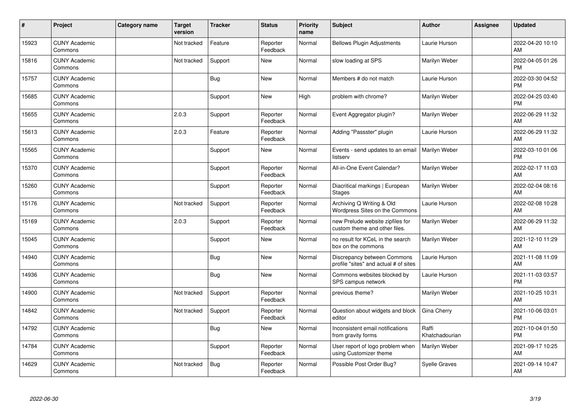| ∦     | Project                         | Category name | <b>Target</b><br>version | <b>Tracker</b> | <b>Status</b>        | <b>Priority</b><br>name | <b>Subject</b>                                                       | <b>Author</b>           | <b>Assignee</b> | <b>Updated</b>                |
|-------|---------------------------------|---------------|--------------------------|----------------|----------------------|-------------------------|----------------------------------------------------------------------|-------------------------|-----------------|-------------------------------|
| 15923 | <b>CUNY Academic</b><br>Commons |               | Not tracked              | Feature        | Reporter<br>Feedback | Normal                  | <b>Bellows Plugin Adjustments</b>                                    | Laurie Hurson           |                 | 2022-04-20 10:10<br>AM        |
| 15816 | <b>CUNY Academic</b><br>Commons |               | Not tracked              | Support        | <b>New</b>           | Normal                  | slow loading at SPS                                                  | Marilyn Weber           |                 | 2022-04-05 01:26<br><b>PM</b> |
| 15757 | <b>CUNY Academic</b><br>Commons |               |                          | Bug            | <b>New</b>           | Normal                  | Members # do not match                                               | Laurie Hurson           |                 | 2022-03-30 04:52<br><b>PM</b> |
| 15685 | <b>CUNY Academic</b><br>Commons |               |                          | Support        | <b>New</b>           | High                    | problem with chrome?                                                 | Marilyn Weber           |                 | 2022-04-25 03:40<br><b>PM</b> |
| 15655 | <b>CUNY Academic</b><br>Commons |               | 2.0.3                    | Support        | Reporter<br>Feedback | Normal                  | Event Aggregator plugin?                                             | Marilyn Weber           |                 | 2022-06-29 11:32<br>AM        |
| 15613 | <b>CUNY Academic</b><br>Commons |               | 2.0.3                    | Feature        | Reporter<br>Feedback | Normal                  | Adding "Passster" plugin                                             | Laurie Hurson           |                 | 2022-06-29 11:32<br><b>AM</b> |
| 15565 | <b>CUNY Academic</b><br>Commons |               |                          | Support        | <b>New</b>           | Normal                  | Events - send updates to an email<br>listserv                        | Marilyn Weber           |                 | 2022-03-10 01:06<br><b>PM</b> |
| 15370 | <b>CUNY Academic</b><br>Commons |               |                          | Support        | Reporter<br>Feedback | Normal                  | All-in-One Event Calendar?                                           | Marilyn Weber           |                 | 2022-02-17 11:03<br>AM        |
| 15260 | <b>CUNY Academic</b><br>Commons |               |                          | Support        | Reporter<br>Feedback | Normal                  | Diacritical markings   European<br><b>Stages</b>                     | Marilyn Weber           |                 | 2022-02-04 08:16<br>AM        |
| 15176 | <b>CUNY Academic</b><br>Commons |               | Not tracked              | Support        | Reporter<br>Feedback | Normal                  | Archiving Q Writing & Old<br>Wordpress Sites on the Commons          | Laurie Hurson           |                 | 2022-02-08 10:28<br>AM        |
| 15169 | <b>CUNY Academic</b><br>Commons |               | 2.0.3                    | Support        | Reporter<br>Feedback | Normal                  | new Prelude website zipfiles for<br>custom theme and other files.    | Marilyn Weber           |                 | 2022-06-29 11:32<br>AM        |
| 15045 | <b>CUNY Academic</b><br>Commons |               |                          | Support        | <b>New</b>           | Normal                  | no result for KCeL in the search<br>box on the commons               | Marilyn Weber           |                 | 2021-12-10 11:29<br>AM        |
| 14940 | <b>CUNY Academic</b><br>Commons |               |                          | Bug            | <b>New</b>           | Normal                  | Discrepancy between Commons<br>profile "sites" and actual # of sites | Laurie Hurson           |                 | 2021-11-08 11:09<br>AM        |
| 14936 | <b>CUNY Academic</b><br>Commons |               |                          | <b>Bug</b>     | <b>New</b>           | Normal                  | Commons websites blocked by<br>SPS campus network                    | Laurie Hurson           |                 | 2021-11-03 03:57<br><b>PM</b> |
| 14900 | <b>CUNY Academic</b><br>Commons |               | Not tracked              | Support        | Reporter<br>Feedback | Normal                  | previous theme?                                                      | Marilyn Weber           |                 | 2021-10-25 10:31<br>AM        |
| 14842 | <b>CUNY Academic</b><br>Commons |               | Not tracked              | Support        | Reporter<br>Feedback | Normal                  | Question about widgets and block<br>editor                           | Gina Cherry             |                 | 2021-10-06 03:01<br><b>PM</b> |
| 14792 | <b>CUNY Academic</b><br>Commons |               |                          | Bug            | <b>New</b>           | Normal                  | Inconsistent email notifications<br>from gravity forms               | Raffi<br>Khatchadourian |                 | 2021-10-04 01:50<br><b>PM</b> |
| 14784 | <b>CUNY Academic</b><br>Commons |               |                          | Support        | Reporter<br>Feedback | Normal                  | User report of logo problem when<br>using Customizer theme           | <b>Marilyn Weber</b>    |                 | 2021-09-17 10:25<br>AM        |
| 14629 | <b>CUNY Academic</b><br>Commons |               | Not tracked              | Bug            | Reporter<br>Feedback | Normal                  | Possible Post Order Bug?                                             | <b>Syelle Graves</b>    |                 | 2021-09-14 10:47<br>AM        |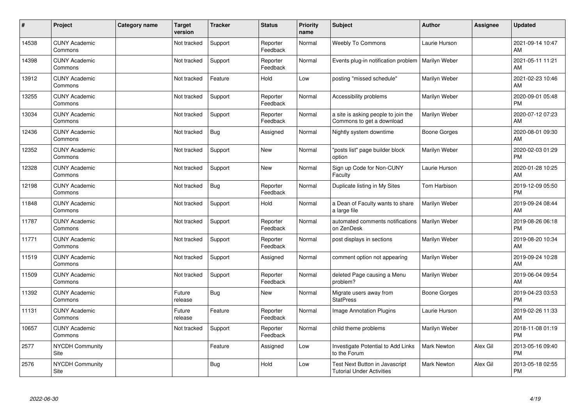| #     | Project                         | <b>Category name</b> | <b>Target</b><br>version | <b>Tracker</b> | <b>Status</b>        | <b>Priority</b><br>name | <b>Subject</b>                                                     | <b>Author</b>      | Assignee | <b>Updated</b>                |
|-------|---------------------------------|----------------------|--------------------------|----------------|----------------------|-------------------------|--------------------------------------------------------------------|--------------------|----------|-------------------------------|
| 14538 | <b>CUNY Academic</b><br>Commons |                      | Not tracked              | Support        | Reporter<br>Feedback | Normal                  | <b>Weebly To Commons</b>                                           | Laurie Hurson      |          | 2021-09-14 10:47<br>AM        |
| 14398 | <b>CUNY Academic</b><br>Commons |                      | Not tracked              | Support        | Reporter<br>Feedback | Normal                  | Events plug-in notification problem                                | Marilyn Weber      |          | 2021-05-11 11:21<br>AM        |
| 13912 | <b>CUNY Academic</b><br>Commons |                      | Not tracked              | Feature        | Hold                 | Low                     | posting "missed schedule"                                          | Marilyn Weber      |          | 2021-02-23 10:46<br>AM        |
| 13255 | <b>CUNY Academic</b><br>Commons |                      | Not tracked              | Support        | Reporter<br>Feedback | Normal                  | Accessibility problems                                             | Marilyn Weber      |          | 2020-09-01 05:48<br><b>PM</b> |
| 13034 | <b>CUNY Academic</b><br>Commons |                      | Not tracked              | Support        | Reporter<br>Feedback | Normal                  | a site is asking people to join the<br>Commons to get a download   | Marilyn Weber      |          | 2020-07-12 07:23<br>AM        |
| 12436 | <b>CUNY Academic</b><br>Commons |                      | Not tracked              | Bug            | Assigned             | Normal                  | Nightly system downtime                                            | Boone Gorges       |          | 2020-08-01 09:30<br>AM        |
| 12352 | <b>CUNY Academic</b><br>Commons |                      | Not tracked              | Support        | New                  | Normal                  | 'posts list" page builder block<br>option                          | Marilyn Weber      |          | 2020-02-03 01:29<br><b>PM</b> |
| 12328 | <b>CUNY Academic</b><br>Commons |                      | Not tracked              | Support        | <b>New</b>           | Normal                  | Sign up Code for Non-CUNY<br>Faculty                               | Laurie Hurson      |          | 2020-01-28 10:25<br>AM        |
| 12198 | <b>CUNY Academic</b><br>Commons |                      | Not tracked              | <b>Bug</b>     | Reporter<br>Feedback | Normal                  | Duplicate listing in My Sites                                      | Tom Harbison       |          | 2019-12-09 05:50<br><b>PM</b> |
| 11848 | <b>CUNY Academic</b><br>Commons |                      | Not tracked              | Support        | Hold                 | Normal                  | a Dean of Faculty wants to share<br>a large file                   | Marilyn Weber      |          | 2019-09-24 08:44<br>AM        |
| 11787 | <b>CUNY Academic</b><br>Commons |                      | Not tracked              | Support        | Reporter<br>Feedback | Normal                  | automated comments notifications<br>on ZenDesk                     | Marilyn Weber      |          | 2019-08-26 06:18<br><b>PM</b> |
| 11771 | <b>CUNY Academic</b><br>Commons |                      | Not tracked              | Support        | Reporter<br>Feedback | Normal                  | post displays in sections                                          | Marilyn Weber      |          | 2019-08-20 10:34<br>AM        |
| 11519 | <b>CUNY Academic</b><br>Commons |                      | Not tracked              | Support        | Assigned             | Normal                  | comment option not appearing                                       | Marilyn Weber      |          | 2019-09-24 10:28<br>AM        |
| 11509 | <b>CUNY Academic</b><br>Commons |                      | Not tracked              | Support        | Reporter<br>Feedback | Normal                  | deleted Page causing a Menu<br>problem?                            | Marilyn Weber      |          | 2019-06-04 09:54<br>AM        |
| 11392 | <b>CUNY Academic</b><br>Commons |                      | Future<br>release        | Bug            | New                  | Normal                  | Migrate users away from<br><b>StatPress</b>                        | Boone Gorges       |          | 2019-04-23 03:53<br><b>PM</b> |
| 11131 | <b>CUNY Academic</b><br>Commons |                      | Future<br>release        | Feature        | Reporter<br>Feedback | Normal                  | Image Annotation Plugins                                           | Laurie Hurson      |          | 2019-02-26 11:33<br>AM        |
| 10657 | <b>CUNY Academic</b><br>Commons |                      | Not tracked              | Support        | Reporter<br>Feedback | Normal                  | child theme problems                                               | Marilyn Weber      |          | 2018-11-08 01:19<br><b>PM</b> |
| 2577  | <b>NYCDH Community</b><br>Site  |                      |                          | Feature        | Assigned             | Low                     | Investigate Potential to Add Links<br>to the Forum                 | <b>Mark Newton</b> | Alex Gil | 2013-05-16 09:40<br><b>PM</b> |
| 2576  | NYCDH Community<br>Site         |                      |                          | Bug            | Hold                 | Low                     | Test Next Button in Javascript<br><b>Tutorial Under Activities</b> | Mark Newton        | Alex Gil | 2013-05-18 02:55<br>PM        |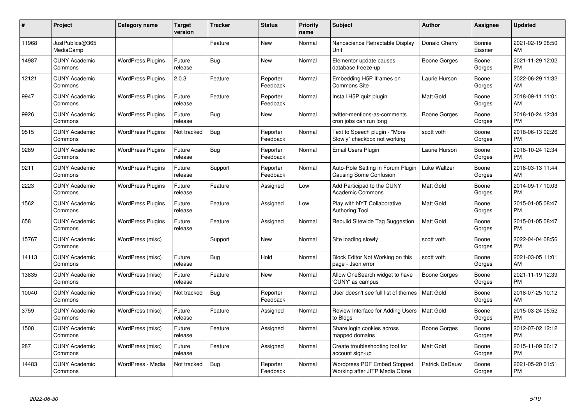| #     | Project                         | <b>Category name</b>     | <b>Target</b><br>version | <b>Tracker</b> | <b>Status</b>        | <b>Priority</b><br>name | <b>Subject</b>                                                | <b>Author</b>         | Assignee          | <b>Updated</b>                |
|-------|---------------------------------|--------------------------|--------------------------|----------------|----------------------|-------------------------|---------------------------------------------------------------|-----------------------|-------------------|-------------------------------|
| 11968 | JustPublics@365<br>MediaCamp    |                          |                          | Feature        | <b>New</b>           | Normal                  | Nanoscience Retractable Display<br>Unit                       | Donald Cherry         | Bonnie<br>Eissner | 2021-02-19 08:50<br>AM        |
| 14987 | <b>CUNY Academic</b><br>Commons | <b>WordPress Plugins</b> | Future<br>release        | Bug            | New                  | Normal                  | Elementor update causes<br>database freeze-up                 | Boone Gorges          | Boone<br>Gorges   | 2021-11-29 12:02<br><b>PM</b> |
| 12121 | <b>CUNY Academic</b><br>Commons | <b>WordPress Plugins</b> | 2.0.3                    | Feature        | Reporter<br>Feedback | Normal                  | Embedding H5P Iframes on<br>Commons Site                      | Laurie Hurson         | Boone<br>Gorges   | 2022-06-29 11:32<br>AM        |
| 9947  | <b>CUNY Academic</b><br>Commons | <b>WordPress Plugins</b> | Future<br>release        | Feature        | Reporter<br>Feedback | Normal                  | Install H5P quiz plugin                                       | Matt Gold             | Boone<br>Gorges   | 2018-09-11 11:01<br>AM        |
| 9926  | <b>CUNY Academic</b><br>Commons | <b>WordPress Plugins</b> | Future<br>release        | <b>Bug</b>     | <b>New</b>           | Normal                  | twitter-mentions-as-comments<br>cron jobs can run long        | <b>Boone Gorges</b>   | Boone<br>Gorges   | 2018-10-24 12:34<br><b>PM</b> |
| 9515  | <b>CUNY Academic</b><br>Commons | <b>WordPress Plugins</b> | Not tracked              | Bug            | Reporter<br>Feedback | Normal                  | Text to Speech plugin - "More<br>Slowly" checkbox not working | scott voth            | Boone<br>Gorges   | 2018-06-13 02:26<br><b>PM</b> |
| 9289  | <b>CUNY Academic</b><br>Commons | <b>WordPress Plugins</b> | Future<br>release        | <b>Bug</b>     | Reporter<br>Feedback | Normal                  | Email Users Plugin                                            | Laurie Hurson         | Boone<br>Gorges   | 2018-10-24 12:34<br><b>PM</b> |
| 9211  | <b>CUNY Academic</b><br>Commons | <b>WordPress Plugins</b> | Future<br>release        | Support        | Reporter<br>Feedback | Normal                  | Auto-Role Setting in Forum Plugin<br>Causing Some Confusion   | Luke Waltzer          | Boone<br>Gorges   | 2018-03-13 11:44<br>AM        |
| 2223  | <b>CUNY Academic</b><br>Commons | <b>WordPress Plugins</b> | Future<br>release        | Feature        | Assigned             | Low                     | Add Participad to the CUNY<br>Academic Commons                | <b>Matt Gold</b>      | Boone<br>Gorges   | 2014-09-17 10:03<br><b>PM</b> |
| 1562  | <b>CUNY Academic</b><br>Commons | <b>WordPress Plugins</b> | Future<br>release        | Feature        | Assigned             | Low                     | Play with NYT Collaborative<br><b>Authoring Tool</b>          | Matt Gold             | Boone<br>Gorges   | 2015-01-05 08:47<br><b>PM</b> |
| 658   | <b>CUNY Academic</b><br>Commons | <b>WordPress Plugins</b> | Future<br>release        | Feature        | Assigned             | Normal                  | Rebulid Sitewide Tag Suggestion                               | <b>Matt Gold</b>      | Boone<br>Gorges   | 2015-01-05 08:47<br><b>PM</b> |
| 15767 | <b>CUNY Academic</b><br>Commons | WordPress (misc)         |                          | Support        | New                  | Normal                  | Site loading slowly                                           | scott voth            | Boone<br>Gorges   | 2022-04-04 08:56<br><b>PM</b> |
| 14113 | <b>CUNY Academic</b><br>Commons | WordPress (misc)         | Future<br>release        | <b>Bug</b>     | Hold                 | Normal                  | Block Editor Not Working on this<br>page - Json error         | scott voth            | Boone<br>Gorges   | 2021-03-05 11:01<br>AM        |
| 13835 | <b>CUNY Academic</b><br>Commons | WordPress (misc)         | Future<br>release        | Feature        | <b>New</b>           | Normal                  | Allow OneSearch widget to have<br>'CUNY' as campus            | <b>Boone Gorges</b>   | Boone<br>Gorges   | 2021-11-19 12:39<br><b>PM</b> |
| 10040 | <b>CUNY Academic</b><br>Commons | WordPress (misc)         | Not tracked              | <b>Bug</b>     | Reporter<br>Feedback | Normal                  | User doesn't see full list of themes                          | <b>Matt Gold</b>      | Boone<br>Gorges   | 2018-07-25 10:12<br>AM        |
| 3759  | <b>CUNY Academic</b><br>Commons | WordPress (misc)         | Future<br>release        | Feature        | Assigned             | Normal                  | Review Interface for Adding Users   Matt Gold<br>to Blogs     |                       | Boone<br>Gorges   | 2015-03-24 05:52<br><b>PM</b> |
| 1508  | <b>CUNY Academic</b><br>Commons | WordPress (misc)         | Future<br>release        | Feature        | Assigned             | Normal                  | Share login cookies across<br>mapped domains                  | Boone Gorges          | Boone<br>Gorges   | 2012-07-02 12:12<br><b>PM</b> |
| 287   | <b>CUNY Academic</b><br>Commons | WordPress (misc)         | Future<br>release        | Feature        | Assigned             | Normal                  | Create troubleshooting tool for<br>account sign-up            | Matt Gold             | Boone<br>Gorges   | 2015-11-09 06:17<br><b>PM</b> |
| 14483 | <b>CUNY Academic</b><br>Commons | WordPress - Media        | Not tracked              | <b>Bug</b>     | Reporter<br>Feedback | Normal                  | Wordpress PDF Embed Stopped<br>Working after JITP Media Clone | <b>Patrick DeDauw</b> | Boone<br>Gorges   | 2021-05-20 01:51<br>PM        |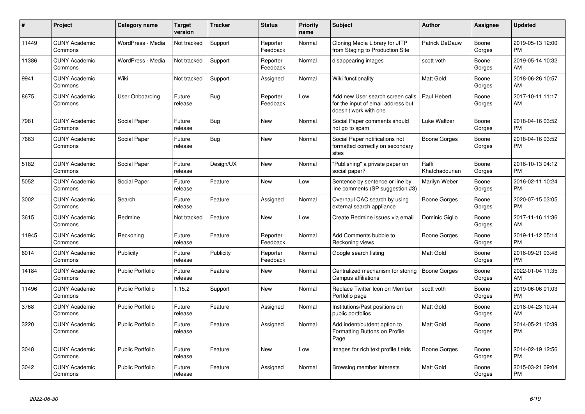| $\#$  | Project                         | <b>Category name</b>    | <b>Target</b><br>version | <b>Tracker</b> | <b>Status</b>        | <b>Priority</b><br>name | <b>Subject</b>                                                                                  | <b>Author</b>           | Assignee        | <b>Updated</b>                |
|-------|---------------------------------|-------------------------|--------------------------|----------------|----------------------|-------------------------|-------------------------------------------------------------------------------------------------|-------------------------|-----------------|-------------------------------|
| 11449 | <b>CUNY Academic</b><br>Commons | WordPress - Media       | Not tracked              | Support        | Reporter<br>Feedback | Normal                  | Cloning Media Library for JITP<br>from Staging to Production Site                               | Patrick DeDauw          | Boone<br>Gorges | 2019-05-13 12:00<br><b>PM</b> |
| 11386 | <b>CUNY Academic</b><br>Commons | WordPress - Media       | Not tracked              | Support        | Reporter<br>Feedback | Normal                  | disappearing images                                                                             | scott voth              | Boone<br>Gorges | 2019-05-14 10:32<br>AM        |
| 9941  | <b>CUNY Academic</b><br>Commons | Wiki                    | Not tracked              | Support        | Assigned             | Normal                  | Wiki functionality                                                                              | Matt Gold               | Boone<br>Gorges | 2018-06-26 10:57<br>AM        |
| 8675  | <b>CUNY Academic</b><br>Commons | User Onboarding         | Future<br>release        | Bug            | Reporter<br>Feedback | Low                     | Add new User search screen calls<br>for the input of email address but<br>doesn't work with one | Paul Hebert             | Boone<br>Gorges | 2017-10-11 11:17<br>AM        |
| 7981  | <b>CUNY Academic</b><br>Commons | Social Paper            | Future<br>release        | Bug            | <b>New</b>           | Normal                  | Social Paper comments should<br>not go to spam                                                  | Luke Waltzer            | Boone<br>Gorges | 2018-04-16 03:52<br><b>PM</b> |
| 7663  | <b>CUNY Academic</b><br>Commons | Social Paper            | Future<br>release        | Bug            | <b>New</b>           | Normal                  | Social Paper notifications not<br>formatted correctly on secondary<br>sites                     | Boone Gorges            | Boone<br>Gorges | 2018-04-16 03:52<br><b>PM</b> |
| 5182  | <b>CUNY Academic</b><br>Commons | Social Paper            | Future<br>release        | Design/UX      | <b>New</b>           | Normal                  | "Publishing" a private paper on<br>social paper?                                                | Raffi<br>Khatchadourian | Boone<br>Gorges | 2016-10-13 04:12<br><b>PM</b> |
| 5052  | <b>CUNY Academic</b><br>Commons | Social Paper            | Future<br>release        | Feature        | New                  | Low                     | Sentence by sentence or line by<br>line comments (SP suggestion #3)                             | Marilyn Weber           | Boone<br>Gorges | 2016-02-11 10:24<br><b>PM</b> |
| 3002  | <b>CUNY Academic</b><br>Commons | Search                  | Future<br>release        | Feature        | Assigned             | Normal                  | Overhaul CAC search by using<br>external search appliance                                       | Boone Gorges            | Boone<br>Gorges | 2020-07-15 03:05<br><b>PM</b> |
| 3615  | <b>CUNY Academic</b><br>Commons | Redmine                 | Not tracked              | Feature        | New                  | Low                     | Create Redmine issues via email                                                                 | Dominic Giglio          | Boone<br>Gorges | 2017-11-16 11:36<br>AM        |
| 11945 | <b>CUNY Academic</b><br>Commons | Reckoning               | Future<br>release        | Feature        | Reporter<br>Feedback | Normal                  | Add Comments bubble to<br>Reckoning views                                                       | Boone Gorges            | Boone<br>Gorges | 2019-11-12 05:14<br><b>PM</b> |
| 6014  | <b>CUNY Academic</b><br>Commons | Publicity               | Future<br>release        | Publicity      | Reporter<br>Feedback | Normal                  | Google search listing                                                                           | <b>Matt Gold</b>        | Boone<br>Gorges | 2016-09-21 03:48<br><b>PM</b> |
| 14184 | <b>CUNY Academic</b><br>Commons | <b>Public Portfolio</b> | Future<br>release        | Feature        | New                  | Normal                  | Centralized mechanism for storing<br>Campus affiliations                                        | Boone Gorges            | Boone<br>Gorges | 2022-01-04 11:35<br>AM        |
| 11496 | <b>CUNY Academic</b><br>Commons | <b>Public Portfolio</b> | 1.15.2                   | Support        | New                  | Normal                  | Replace Twitter Icon on Member<br>Portfolio page                                                | scott voth              | Boone<br>Gorges | 2019-06-06 01:03<br><b>PM</b> |
| 3768  | <b>CUNY Academic</b><br>Commons | <b>Public Portfolio</b> | Future<br>release        | Feature        | Assigned             | Normal                  | Institutions/Past positions on<br>public portfolios                                             | Matt Gold               | Boone<br>Gorges | 2018-04-23 10:44<br>AM        |
| 3220  | <b>CUNY Academic</b><br>Commons | <b>Public Portfolio</b> | Future<br>release        | Feature        | Assigned             | Normal                  | Add indent/outdent option to<br>Formatting Buttons on Profile<br>Page                           | <b>Matt Gold</b>        | Boone<br>Gorges | 2014-05-21 10:39<br><b>PM</b> |
| 3048  | <b>CUNY Academic</b><br>Commons | <b>Public Portfolio</b> | Future<br>release        | Feature        | New                  | Low                     | Images for rich text profile fields                                                             | Boone Gorges            | Boone<br>Gorges | 2014-02-19 12:56<br><b>PM</b> |
| 3042  | <b>CUNY Academic</b><br>Commons | <b>Public Portfolio</b> | Future<br>release        | Feature        | Assigned             | Normal                  | Browsing member interests                                                                       | Matt Gold               | Boone<br>Gorges | 2015-03-21 09:04<br><b>PM</b> |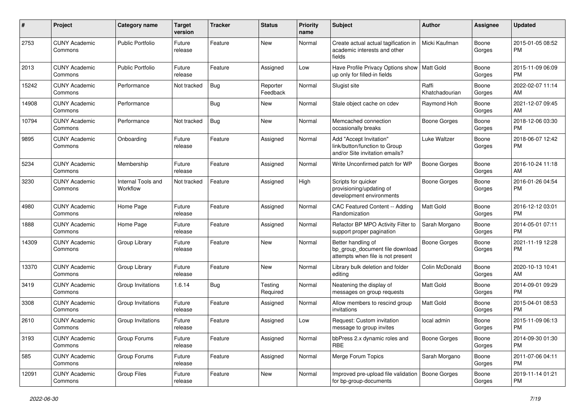| #     | Project                         | <b>Category name</b>           | <b>Target</b><br>version | <b>Tracker</b> | <b>Status</b>        | Priority<br>name | <b>Subject</b>                                                                             | <b>Author</b>           | <b>Assignee</b> | <b>Updated</b>                |
|-------|---------------------------------|--------------------------------|--------------------------|----------------|----------------------|------------------|--------------------------------------------------------------------------------------------|-------------------------|-----------------|-------------------------------|
| 2753  | <b>CUNY Academic</b><br>Commons | <b>Public Portfolio</b>        | Future<br>release        | Feature        | New                  | Normal           | Create actual actual tagification in<br>academic interests and other<br>fields             | Micki Kaufman           | Boone<br>Gorges | 2015-01-05 08:52<br>PM.       |
| 2013  | <b>CUNY Academic</b><br>Commons | <b>Public Portfolio</b>        | Future<br>release        | Feature        | Assigned             | Low              | Have Profile Privacy Options show<br>up only for filled-in fields                          | Matt Gold               | Boone<br>Gorges | 2015-11-09 06:09<br>PM.       |
| 15242 | <b>CUNY Academic</b><br>Commons | Performance                    | Not tracked              | Bug            | Reporter<br>Feedback | Normal           | Slugist site                                                                               | Raffi<br>Khatchadourian | Boone<br>Gorges | 2022-02-07 11:14<br>AM        |
| 14908 | <b>CUNY Academic</b><br>Commons | Performance                    |                          | Bug            | New                  | Normal           | Stale object cache on cdev                                                                 | Raymond Hoh             | Boone<br>Gorges | 2021-12-07 09:45<br>AM        |
| 10794 | <b>CUNY Academic</b><br>Commons | Performance                    | Not tracked              | Bug            | New                  | Normal           | Memcached connection<br>occasionally breaks                                                | Boone Gorges            | Boone<br>Gorges | 2018-12-06 03:30<br><b>PM</b> |
| 9895  | <b>CUNY Academic</b><br>Commons | Onboarding                     | Future<br>release        | Feature        | Assigned             | Normal           | Add "Accept Invitation"<br>link/button/function to Group<br>and/or Site invitation emails? | Luke Waltzer            | Boone<br>Gorges | 2018-06-07 12:42<br><b>PM</b> |
| 5234  | <b>CUNY Academic</b><br>Commons | Membership                     | Future<br>release        | Feature        | Assigned             | Normal           | Write Unconfirmed patch for WP                                                             | <b>Boone Gorges</b>     | Boone<br>Gorges | 2016-10-24 11:18<br>AM        |
| 3230  | <b>CUNY Academic</b><br>Commons | Internal Tools and<br>Workflow | Not tracked              | Feature        | Assigned             | High             | Scripts for quicker<br>provisioning/updating of<br>development environments                | Boone Gorges            | Boone<br>Gorges | 2016-01-26 04:54<br><b>PM</b> |
| 4980  | <b>CUNY Academic</b><br>Commons | Home Page                      | Future<br>release        | Feature        | Assigned             | Normal           | CAC Featured Content -- Adding<br>Randomization                                            | <b>Matt Gold</b>        | Boone<br>Gorges | 2016-12-12 03:01<br>PM.       |
| 1888  | <b>CUNY Academic</b><br>Commons | Home Page                      | Future<br>release        | Feature        | Assigned             | Normal           | Refactor BP MPO Activity Filter to<br>support proper pagination                            | Sarah Morgano           | Boone<br>Gorges | 2014-05-01 07:11<br>PM.       |
| 14309 | <b>CUNY Academic</b><br>Commons | Group Library                  | Future<br>release        | Feature        | New                  | Normal           | Better handling of<br>bp_group_document file download<br>attempts when file is not present | <b>Boone Gorges</b>     | Boone<br>Gorges | 2021-11-19 12:28<br>PM        |
| 13370 | <b>CUNY Academic</b><br>Commons | Group Library                  | Future<br>release        | Feature        | New                  | Normal           | Library bulk deletion and folder<br>editing                                                | Colin McDonald          | Boone<br>Gorges | 2020-10-13 10:41<br>AM        |
| 3419  | <b>CUNY Academic</b><br>Commons | Group Invitations              | 1.6.14                   | <b>Bug</b>     | Testing<br>Required  | Normal           | Neatening the display of<br>messages on group requests                                     | <b>Matt Gold</b>        | Boone<br>Gorges | 2014-09-01 09:29<br><b>PM</b> |
| 3308  | <b>CUNY Academic</b><br>Commons | Group Invitations              | Future<br>release        | Feature        | Assigned             | Normal           | Allow members to rescind group<br>invitations                                              | Matt Gold               | Boone<br>Gorges | 2015-04-01 08:53<br><b>PM</b> |
| 2610  | <b>CUNY Academic</b><br>Commons | Group Invitations              | Future<br>release        | Feature        | Assigned             | Low              | Request: Custom invitation<br>message to group invites                                     | local admin             | Boone<br>Gorges | 2015-11-09 06:13<br><b>PM</b> |
| 3193  | <b>CUNY Academic</b><br>Commons | Group Forums                   | Future<br>release        | Feature        | Assigned             | Normal           | bbPress 2.x dynamic roles and<br><b>RBE</b>                                                | Boone Gorges            | Boone<br>Gorges | 2014-09-30 01:30<br>PM.       |
| 585   | <b>CUNY Academic</b><br>Commons | Group Forums                   | Future<br>release        | Feature        | Assigned             | Normal           | Merge Forum Topics                                                                         | Sarah Morgano           | Boone<br>Gorges | 2011-07-06 04:11<br><b>PM</b> |
| 12091 | <b>CUNY Academic</b><br>Commons | Group Files                    | Future<br>release        | Feature        | New                  | Normal           | Improved pre-upload file validation<br>for bp-group-documents                              | Boone Gorges            | Boone<br>Gorges | 2019-11-14 01:21<br><b>PM</b> |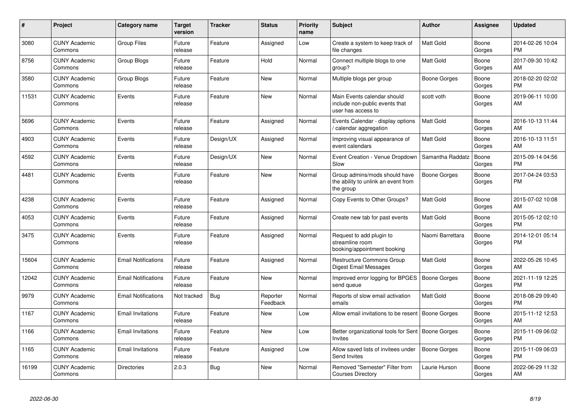| #     | Project                         | <b>Category name</b>       | <b>Target</b><br>version | <b>Tracker</b> | <b>Status</b>        | <b>Priority</b><br>name | <b>Subject</b>                                                                      | <b>Author</b>       | <b>Assignee</b> | <b>Updated</b>                |
|-------|---------------------------------|----------------------------|--------------------------|----------------|----------------------|-------------------------|-------------------------------------------------------------------------------------|---------------------|-----------------|-------------------------------|
| 3080  | <b>CUNY Academic</b><br>Commons | <b>Group Files</b>         | Future<br>release        | Feature        | Assigned             | Low                     | Create a system to keep track of<br>file changes                                    | <b>Matt Gold</b>    | Boone<br>Gorges | 2014-02-26 10:04<br><b>PM</b> |
| 8756  | <b>CUNY Academic</b><br>Commons | <b>Group Blogs</b>         | Future<br>release        | Feature        | Hold                 | Normal                  | Connect multiple blogs to one<br>group?                                             | <b>Matt Gold</b>    | Boone<br>Gorges | 2017-09-30 10:42<br>AM        |
| 3580  | <b>CUNY Academic</b><br>Commons | Group Blogs                | Future<br>release        | Feature        | New                  | Normal                  | Multiple blogs per group                                                            | Boone Gorges        | Boone<br>Gorges | 2018-02-20 02:02<br><b>PM</b> |
| 11531 | <b>CUNY Academic</b><br>Commons | Events                     | Future<br>release        | Feature        | New                  | Normal                  | Main Events calendar should<br>include non-public events that<br>user has access to | scott voth          | Boone<br>Gorges | 2019-06-11 10:00<br>AM        |
| 5696  | <b>CUNY Academic</b><br>Commons | Events                     | Future<br>release        | Feature        | Assigned             | Normal                  | Events Calendar - display options<br>/ calendar aggregation                         | <b>Matt Gold</b>    | Boone<br>Gorges | 2016-10-13 11:44<br>AM        |
| 4903  | <b>CUNY Academic</b><br>Commons | Events                     | Future<br>release        | Design/UX      | Assigned             | Normal                  | Improving visual appearance of<br>event calendars                                   | <b>Matt Gold</b>    | Boone<br>Gorges | 2016-10-13 11:51<br>AM        |
| 4592  | <b>CUNY Academic</b><br>Commons | Events                     | Future<br>release        | Design/UX      | <b>New</b>           | Normal                  | Event Creation - Venue Dropdown<br>Slow                                             | Samantha Raddatz    | Boone<br>Gorges | 2015-09-14 04:56<br><b>PM</b> |
| 4481  | <b>CUNY Academic</b><br>Commons | Events                     | Future<br>release        | Feature        | New                  | Normal                  | Group admins/mods should have<br>the ability to unlink an event from<br>the group   | Boone Gorges        | Boone<br>Gorges | 2017-04-24 03:53<br><b>PM</b> |
| 4238  | <b>CUNY Academic</b><br>Commons | Events                     | Future<br>release        | Feature        | Assigned             | Normal                  | Copy Events to Other Groups?                                                        | Matt Gold           | Boone<br>Gorges | 2015-07-02 10:08<br>AM        |
| 4053  | <b>CUNY Academic</b><br>Commons | Events                     | Future<br>release        | Feature        | Assigned             | Normal                  | Create new tab for past events                                                      | Matt Gold           | Boone<br>Gorges | 2015-05-12 02:10<br><b>PM</b> |
| 3475  | <b>CUNY Academic</b><br>Commons | Events                     | Future<br>release        | Feature        | Assigned             | Normal                  | Request to add plugin to<br>streamline room<br>booking/appointment booking          | Naomi Barrettara    | Boone<br>Gorges | 2014-12-01 05:14<br><b>PM</b> |
| 15604 | <b>CUNY Academic</b><br>Commons | <b>Email Notifications</b> | Future<br>release        | Feature        | Assigned             | Normal                  | Restructure Commons Group<br>Digest Email Messages                                  | Matt Gold           | Boone<br>Gorges | 2022-05-26 10:45<br>AM        |
| 12042 | <b>CUNY Academic</b><br>Commons | <b>Email Notifications</b> | Future<br>release        | Feature        | New                  | Normal                  | Improved error logging for BPGES<br>send queue                                      | <b>Boone Gorges</b> | Boone<br>Gorges | 2021-11-19 12:25<br><b>PM</b> |
| 9979  | <b>CUNY Academic</b><br>Commons | <b>Email Notifications</b> | Not tracked              | Bug            | Reporter<br>Feedback | Normal                  | Reports of slow email activation<br>emails                                          | <b>Matt Gold</b>    | Boone<br>Gorges | 2018-08-29 09:40<br><b>PM</b> |
| 1167  | <b>CUNY Academic</b><br>Commons | <b>Email Invitations</b>   | Future<br>release        | Feature        | New                  | Low                     | Allow email invitations to be resent   Boone Gorges                                 |                     | Boone<br>Gorges | 2015-11-12 12:53<br>AM        |
| 1166  | <b>CUNY Academic</b><br>Commons | <b>Email Invitations</b>   | Future<br>release        | Feature        | <b>New</b>           | Low                     | Better organizational tools for Sent   Boone Gorges<br>Invites                      |                     | Boone<br>Gorges | 2015-11-09 06:02<br><b>PM</b> |
| 1165  | <b>CUNY Academic</b><br>Commons | <b>Email Invitations</b>   | Future<br>release        | Feature        | Assigned             | Low                     | Allow saved lists of invitees under<br>Send Invites                                 | <b>Boone Gorges</b> | Boone<br>Gorges | 2015-11-09 06:03<br><b>PM</b> |
| 16199 | <b>CUNY Academic</b><br>Commons | Directories                | 2.0.3                    | Bug            | <b>New</b>           | Normal                  | Removed "Semester" Filter from<br><b>Courses Directory</b>                          | Laurie Hurson       | Boone<br>Gorges | 2022-06-29 11:32<br>AM        |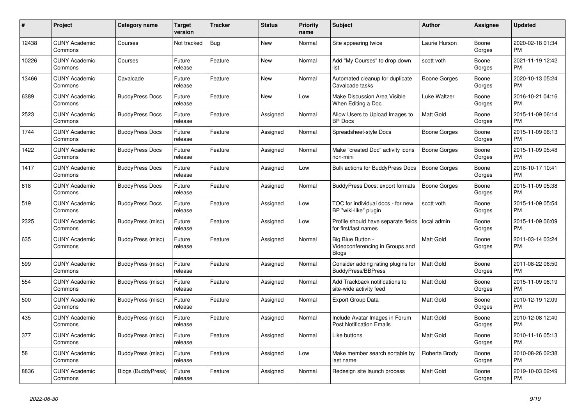| $\#$  | Project                         | <b>Category name</b>      | <b>Target</b><br>version | <b>Tracker</b> | <b>Status</b> | <b>Priority</b><br>name | <b>Subject</b>                                                       | <b>Author</b>       | <b>Assignee</b> | <b>Updated</b>                |
|-------|---------------------------------|---------------------------|--------------------------|----------------|---------------|-------------------------|----------------------------------------------------------------------|---------------------|-----------------|-------------------------------|
| 12438 | <b>CUNY Academic</b><br>Commons | Courses                   | Not tracked              | <b>Bug</b>     | <b>New</b>    | Normal                  | Site appearing twice                                                 | Laurie Hurson       | Boone<br>Gorges | 2020-02-18 01:34<br><b>PM</b> |
| 10226 | <b>CUNY Academic</b><br>Commons | Courses                   | Future<br>release        | Feature        | New           | Normal                  | Add "My Courses" to drop down<br>list                                | scott voth          | Boone<br>Gorges | 2021-11-19 12:42<br><b>PM</b> |
| 13466 | <b>CUNY Academic</b><br>Commons | Cavalcade                 | Future<br>release        | Feature        | New           | Normal                  | Automated cleanup for duplicate<br>Cavalcade tasks                   | Boone Gorges        | Boone<br>Gorges | 2020-10-13 05:24<br><b>PM</b> |
| 6389  | <b>CUNY Academic</b><br>Commons | <b>BuddyPress Docs</b>    | Future<br>release        | Feature        | New           | Low                     | Make Discussion Area Visible<br>When Editing a Doc                   | Luke Waltzer        | Boone<br>Gorges | 2016-10-21 04:16<br><b>PM</b> |
| 2523  | <b>CUNY Academic</b><br>Commons | <b>BuddyPress Docs</b>    | Future<br>release        | Feature        | Assigned      | Normal                  | Allow Users to Upload Images to<br><b>BP</b> Docs                    | Matt Gold           | Boone<br>Gorges | 2015-11-09 06:14<br><b>PM</b> |
| 1744  | <b>CUNY Academic</b><br>Commons | <b>BuddyPress Docs</b>    | Future<br>release        | Feature        | Assigned      | Normal                  | Spreadsheet-style Docs                                               | Boone Gorges        | Boone<br>Gorges | 2015-11-09 06:13<br><b>PM</b> |
| 1422  | <b>CUNY Academic</b><br>Commons | <b>BuddyPress Docs</b>    | Future<br>release        | Feature        | Assigned      | Normal                  | Make "created Doc" activity icons<br>non-mini                        | <b>Boone Gorges</b> | Boone<br>Gorges | 2015-11-09 05:48<br><b>PM</b> |
| 1417  | <b>CUNY Academic</b><br>Commons | <b>BuddyPress Docs</b>    | Future<br>release        | Feature        | Assigned      | Low                     | Bulk actions for BuddyPress Docs                                     | Boone Gorges        | Boone<br>Gorges | 2016-10-17 10:41<br><b>PM</b> |
| 618   | <b>CUNY Academic</b><br>Commons | <b>BuddyPress Docs</b>    | Future<br>release        | Feature        | Assigned      | Normal                  | BuddyPress Docs: export formats                                      | Boone Gorges        | Boone<br>Gorges | 2015-11-09 05:38<br><b>PM</b> |
| 519   | <b>CUNY Academic</b><br>Commons | <b>BuddyPress Docs</b>    | Future<br>release        | Feature        | Assigned      | Low                     | TOC for individual docs - for new<br>BP "wiki-like" plugin           | scott voth          | Boone<br>Gorges | 2015-11-09 05:54<br><b>PM</b> |
| 2325  | <b>CUNY Academic</b><br>Commons | BuddyPress (misc)         | Future<br>release        | Feature        | Assigned      | Low                     | Profile should have separate fields<br>for first/last names          | local admin         | Boone<br>Gorges | 2015-11-09 06:09<br><b>PM</b> |
| 635   | <b>CUNY Academic</b><br>Commons | BuddyPress (misc)         | Future<br>release        | Feature        | Assigned      | Normal                  | Big Blue Button -<br>Videoconferencing in Groups and<br><b>Blogs</b> | <b>Matt Gold</b>    | Boone<br>Gorges | 2011-03-14 03:24<br><b>PM</b> |
| 599   | <b>CUNY Academic</b><br>Commons | BuddyPress (misc)         | Future<br>release        | Feature        | Assigned      | Normal                  | Consider adding rating plugins for<br><b>BuddyPress/BBPress</b>      | <b>Matt Gold</b>    | Boone<br>Gorges | 2011-08-22 06:50<br><b>PM</b> |
| 554   | <b>CUNY Academic</b><br>Commons | BuddyPress (misc)         | Future<br>release        | Feature        | Assigned      | Normal                  | Add Trackback notifications to<br>site-wide activity feed            | <b>Matt Gold</b>    | Boone<br>Gorges | 2015-11-09 06:19<br><b>PM</b> |
| 500   | <b>CUNY Academic</b><br>Commons | BuddyPress (misc)         | Future<br>release        | Feature        | Assigned      | Normal                  | <b>Export Group Data</b>                                             | <b>Matt Gold</b>    | Boone<br>Gorges | 2010-12-19 12:09<br><b>PM</b> |
| 435   | <b>CUNY Academic</b><br>Commons | BuddyPress (misc)         | Future<br>release        | Feature        | Assigned      | Normal                  | Include Avatar Images in Forum<br><b>Post Notification Emails</b>    | <b>Matt Gold</b>    | Boone<br>Gorges | 2010-12-08 12:40<br><b>PM</b> |
| 377   | <b>CUNY Academic</b><br>Commons | BuddyPress (misc)         | Future<br>release        | Feature        | Assigned      | Normal                  | Like buttons                                                         | <b>Matt Gold</b>    | Boone<br>Gorges | 2010-11-16 05:13<br><b>PM</b> |
| 58    | <b>CUNY Academic</b><br>Commons | BuddyPress (misc)         | Future<br>release        | Feature        | Assigned      | Low                     | Make member search sortable by<br>last name                          | Roberta Brody       | Boone<br>Gorges | 2010-08-26 02:38<br><b>PM</b> |
| 8836  | <b>CUNY Academic</b><br>Commons | <b>Blogs (BuddyPress)</b> | Future<br>release        | Feature        | Assigned      | Normal                  | Redesign site launch process                                         | <b>Matt Gold</b>    | Boone<br>Gorges | 2019-10-03 02:49<br><b>PM</b> |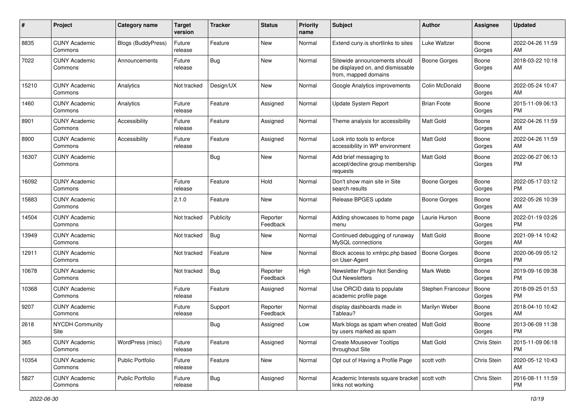| #     | Project                         | <b>Category name</b> | <b>Target</b><br>version | <b>Tracker</b> | <b>Status</b>        | Priority<br>name | <b>Subject</b>                                                                            | Author              | <b>Assignee</b> | <b>Updated</b>                |
|-------|---------------------------------|----------------------|--------------------------|----------------|----------------------|------------------|-------------------------------------------------------------------------------------------|---------------------|-----------------|-------------------------------|
| 8835  | <b>CUNY Academic</b><br>Commons | Blogs (BuddyPress)   | Future<br>release        | Feature        | New                  | Normal           | Extend cuny is shortlinks to sites                                                        | Luke Waltzer        | Boone<br>Gorges | 2022-04-26 11:59<br>AM.       |
| 7022  | <b>CUNY Academic</b><br>Commons | Announcements        | Future<br>release        | Bug            | New                  | Normal           | Sitewide announcements should<br>be displayed on, and dismissable<br>from, mapped domains | <b>Boone Gorges</b> | Boone<br>Gorges | 2018-03-22 10:18<br>AM        |
| 15210 | <b>CUNY Academic</b><br>Commons | Analytics            | Not tracked              | Design/UX      | New                  | Normal           | Google Analytics improvements                                                             | Colin McDonald      | Boone<br>Gorges | 2022-05-24 10:47<br>AM        |
| 1460  | <b>CUNY Academic</b><br>Commons | Analytics            | Future<br>release        | Feature        | Assigned             | Normal           | <b>Update System Report</b>                                                               | <b>Brian Foote</b>  | Boone<br>Gorges | 2015-11-09 06:13<br>PM.       |
| 8901  | <b>CUNY Academic</b><br>Commons | Accessibility        | Future<br>release        | Feature        | Assigned             | Normal           | Theme analysis for accessibility                                                          | Matt Gold           | Boone<br>Gorges | 2022-04-26 11:59<br>AM        |
| 8900  | <b>CUNY Academic</b><br>Commons | Accessibility        | Future<br>release        | Feature        | Assigned             | Normal           | Look into tools to enforce<br>accessibility in WP environment                             | <b>Matt Gold</b>    | Boone<br>Gorges | 2022-04-26 11:59<br>AM        |
| 16307 | <b>CUNY Academic</b><br>Commons |                      |                          | <b>Bug</b>     | New                  | Normal           | Add brief messaging to<br>accept/decline group membership<br>requests                     | Matt Gold           | Boone<br>Gorges | 2022-06-27 06:13<br><b>PM</b> |
| 16092 | <b>CUNY Academic</b><br>Commons |                      | Future<br>release        | Feature        | Hold                 | Normal           | Don't show main site in Site<br>search results                                            | Boone Gorges        | Boone<br>Gorges | 2022-05-17 03:12<br><b>PM</b> |
| 15883 | <b>CUNY Academic</b><br>Commons |                      | 2.1.0                    | Feature        | New                  | Normal           | Release BPGES update                                                                      | <b>Boone Gorges</b> | Boone<br>Gorges | 2022-05-26 10:39<br>AM        |
| 14504 | <b>CUNY Academic</b><br>Commons |                      | Not tracked              | Publicity      | Reporter<br>Feedback | Normal           | Adding showcases to home page<br>menu                                                     | Laurie Hurson       | Boone<br>Gorges | 2022-01-19 03:26<br>PM.       |
| 13949 | <b>CUNY Academic</b><br>Commons |                      | Not tracked              | Bug            | New                  | Normal           | Continued debugging of runaway<br>MySQL connections                                       | Matt Gold           | Boone<br>Gorges | 2021-09-14 10:42<br>AM        |
| 12911 | <b>CUNY Academic</b><br>Commons |                      | Not tracked              | Feature        | New                  | Normal           | Block access to xmlrpc.php based<br>on User-Agent                                         | <b>Boone Gorges</b> | Boone<br>Gorges | 2020-06-09 05:12<br>PM.       |
| 10678 | <b>CUNY Academic</b><br>Commons |                      | Not tracked              | Bug            | Reporter<br>Feedback | High             | Newsletter Plugin Not Sending<br>Out Newsletters                                          | Mark Webb           | Boone<br>Gorges | 2019-09-16 09:38<br>PM        |
| 10368 | <b>CUNY Academic</b><br>Commons |                      | Future<br>release        | Feature        | Assigned             | Normal           | Use ORCID data to populate<br>academic profile page                                       | Stephen Francoeur   | Boone<br>Gorges | 2018-09-25 01:53<br>PM.       |
| 9207  | <b>CUNY Academic</b><br>Commons |                      | Future<br>release        | Support        | Reporter<br>Feedback | Normal           | display dashboards made in<br>Tableau?                                                    | Marilyn Weber       | Boone<br>Gorges | 2018-04-10 10:42<br>AM        |
| 2618  | <b>NYCDH Community</b><br>Site  |                      |                          | Bug            | Assigned             | Low              | Mark blogs as spam when created   Matt Gold<br>by users marked as spam                    |                     | Boone<br>Gorges | 2013-06-09 11:38<br>PM        |
| 365   | <b>CUNY Academic</b><br>Commons | WordPress (misc)     | Future<br>release        | Feature        | Assigned             | Normal           | <b>Create Mouseover Tooltips</b><br>throughout Site                                       | Matt Gold           | Chris Stein     | 2015-11-09 06:18<br><b>PM</b> |
| 10354 | <b>CUNY Academic</b><br>Commons | Public Portfolio     | Future<br>release        | Feature        | New                  | Normal           | Opt out of Having a Profile Page                                                          | scott voth          | Chris Stein     | 2020-05-12 10:43<br>AM        |
| 5827  | <b>CUNY Academic</b><br>Commons | Public Portfolio     | Future<br>release        | <b>Bug</b>     | Assigned             | Normal           | Academic Interests square bracket   scott voth<br>links not working                       |                     | Chris Stein     | 2016-08-11 11:59<br><b>PM</b> |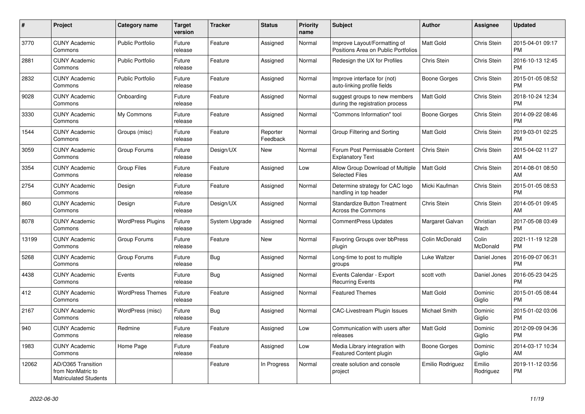| #     | Project                                                                 | <b>Category name</b>     | <b>Target</b><br>version | <b>Tracker</b> | <b>Status</b>        | <b>Priority</b><br>name | <b>Subject</b>                                                      | <b>Author</b>    | Assignee            | <b>Updated</b>                |
|-------|-------------------------------------------------------------------------|--------------------------|--------------------------|----------------|----------------------|-------------------------|---------------------------------------------------------------------|------------------|---------------------|-------------------------------|
| 3770  | <b>CUNY Academic</b><br>Commons                                         | <b>Public Portfolio</b>  | Future<br>release        | Feature        | Assigned             | Normal                  | Improve Layout/Formatting of<br>Positions Area on Public Portfolios | <b>Matt Gold</b> | Chris Stein         | 2015-04-01 09:17<br><b>PM</b> |
| 2881  | <b>CUNY Academic</b><br>Commons                                         | <b>Public Portfolio</b>  | Future<br>release        | Feature        | Assigned             | Normal                  | Redesign the UX for Profiles                                        | Chris Stein      | Chris Stein         | 2016-10-13 12:45<br><b>PM</b> |
| 2832  | <b>CUNY Academic</b><br>Commons                                         | Public Portfolio         | Future<br>release        | Feature        | Assigned             | Normal                  | Improve interface for (not)<br>auto-linking profile fields          | Boone Gorges     | Chris Stein         | 2015-01-05 08:52<br><b>PM</b> |
| 9028  | <b>CUNY Academic</b><br>Commons                                         | Onboarding               | Future<br>release        | Feature        | Assigned             | Normal                  | suggest groups to new members<br>during the registration process    | <b>Matt Gold</b> | Chris Stein         | 2018-10-24 12:34<br><b>PM</b> |
| 3330  | <b>CUNY Academic</b><br>Commons                                         | My Commons               | Future<br>release        | Feature        | Assigned             | Normal                  | "Commons Information" tool                                          | Boone Gorges     | Chris Stein         | 2014-09-22 08:46<br><b>PM</b> |
| 1544  | <b>CUNY Academic</b><br>Commons                                         | Groups (misc)            | Future<br>release        | Feature        | Reporter<br>Feedback | Normal                  | Group Filtering and Sorting                                         | Matt Gold        | Chris Stein         | 2019-03-01 02:25<br><b>PM</b> |
| 3059  | <b>CUNY Academic</b><br>Commons                                         | Group Forums             | Future<br>release        | Design/UX      | <b>New</b>           | Normal                  | Forum Post Permissable Content<br><b>Explanatory Text</b>           | Chris Stein      | Chris Stein         | 2015-04-02 11:27<br>AM        |
| 3354  | <b>CUNY Academic</b><br>Commons                                         | <b>Group Files</b>       | Future<br>release        | Feature        | Assigned             | Low                     | Allow Group Download of Multiple<br><b>Selected Files</b>           | <b>Matt Gold</b> | Chris Stein         | 2014-08-01 08:50<br>AM        |
| 2754  | <b>CUNY Academic</b><br>Commons                                         | Design                   | Future<br>release        | Feature        | Assigned             | Normal                  | Determine strategy for CAC logo<br>handling in top header           | Micki Kaufman    | Chris Stein         | 2015-01-05 08:53<br><b>PM</b> |
| 860   | <b>CUNY Academic</b><br>Commons                                         | Design                   | Future<br>release        | Design/UX      | Assigned             | Normal                  | <b>Standardize Button Treatment</b><br><b>Across the Commons</b>    | Chris Stein      | Chris Stein         | 2014-05-01 09:45<br>AM        |
| 8078  | <b>CUNY Academic</b><br>Commons                                         | <b>WordPress Plugins</b> | Future<br>release        | System Upgrade | Assigned             | Normal                  | <b>CommentPress Updates</b>                                         | Margaret Galvan  | Christian<br>Wach   | 2017-05-08 03:49<br><b>PM</b> |
| 13199 | <b>CUNY Academic</b><br>Commons                                         | Group Forums             | Future<br>release        | Feature        | New                  | Normal                  | Favoring Groups over bbPress<br>plugin                              | Colin McDonald   | Colin<br>McDonald   | 2021-11-19 12:28<br><b>PM</b> |
| 5268  | <b>CUNY Academic</b><br>Commons                                         | Group Forums             | Future<br>release        | <b>Bug</b>     | Assigned             | Normal                  | Long-time to post to multiple<br>groups                             | Luke Waltzer     | Daniel Jones        | 2016-09-07 06:31<br><b>PM</b> |
| 4438  | <b>CUNY Academic</b><br>Commons                                         | Events                   | Future<br>release        | Bug            | Assigned             | Normal                  | Events Calendar - Export<br><b>Recurring Events</b>                 | scott voth       | Daniel Jones        | 2016-05-23 04:25<br><b>PM</b> |
| 412   | <b>CUNY Academic</b><br>Commons                                         | <b>WordPress Themes</b>  | Future<br>release        | Feature        | Assigned             | Normal                  | <b>Featured Themes</b>                                              | Matt Gold        | Dominic<br>Giglio   | 2015-01-05 08:44<br><b>PM</b> |
| 2167  | <b>CUNY Academic</b><br>Commons                                         | WordPress (misc)         | Future<br>release        | Bug            | Assigned             | Normal                  | <b>CAC-Livestream Plugin Issues</b>                                 | Michael Smith    | Dominic<br>Giglio   | 2015-01-02 03:06<br><b>PM</b> |
| 940   | <b>CUNY Academic</b><br>Commons                                         | Redmine                  | Future<br>release        | Feature        | Assigned             | Low                     | Communication with users after<br>releases                          | Matt Gold        | Dominic<br>Giglio   | 2012-09-09 04:36<br><b>PM</b> |
| 1983  | <b>CUNY Academic</b><br>Commons                                         | Home Page                | Future<br>release        | Feature        | Assigned             | Low                     | Media Library integration with<br><b>Featured Content plugin</b>    | Boone Gorges     | Dominic<br>Giglio   | 2014-03-17 10:34<br>AM        |
| 12062 | AD/O365 Transition<br>from NonMatric to<br><b>Matriculated Students</b> |                          |                          | Feature        | In Progress          | Normal                  | create solution and console<br>project                              | Emilio Rodriguez | Emilio<br>Rodriguez | 2019-11-12 03:56<br><b>PM</b> |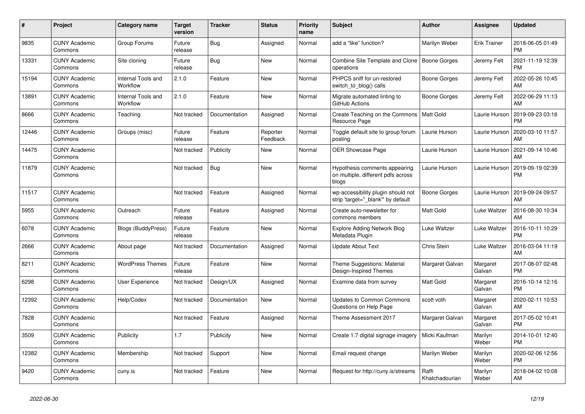| #     | <b>Project</b>                  | Category name                  | <b>Target</b><br>version | <b>Tracker</b> | <b>Status</b>        | <b>Priority</b><br>name | <b>Subject</b>                                                               | <b>Author</b>           | Assignee            | <b>Updated</b>                |
|-------|---------------------------------|--------------------------------|--------------------------|----------------|----------------------|-------------------------|------------------------------------------------------------------------------|-------------------------|---------------------|-------------------------------|
| 9835  | <b>CUNY Academic</b><br>Commons | Group Forums                   | Future<br>release        | <b>Bug</b>     | Assigned             | Normal                  | add a "like" function?                                                       | Marilyn Weber           | <b>Erik Trainer</b> | 2018-06-05 01:49<br><b>PM</b> |
| 13331 | <b>CUNY Academic</b><br>Commons | Site cloning                   | Future<br>release        | <b>Bug</b>     | <b>New</b>           | Normal                  | Combine Site Template and Clone<br>operations                                | Boone Gorges            | Jeremy Felt         | 2021-11-19 12:39<br><b>PM</b> |
| 15194 | <b>CUNY Academic</b><br>Commons | Internal Tools and<br>Workflow | 2.1.0                    | Feature        | New                  | Normal                  | PHPCS sniff for un-restored<br>switch to blog() calls                        | Boone Gorges            | Jeremy Felt         | 2022-05-26 10:45<br>AM        |
| 13891 | <b>CUNY Academic</b><br>Commons | Internal Tools and<br>Workflow | 2.1.0                    | Feature        | <b>New</b>           | Normal                  | Migrate automated linting to<br>GitHub Actions                               | Boone Gorges            | Jeremy Felt         | 2022-06-29 11:13<br>AM        |
| 8666  | <b>CUNY Academic</b><br>Commons | Teaching                       | Not tracked              | Documentation  | Assigned             | Normal                  | Create Teaching on the Commons<br>Resource Page                              | Matt Gold               | Laurie Hurson       | 2019-09-23 03:16<br><b>PM</b> |
| 12446 | <b>CUNY Academic</b><br>Commons | Groups (misc)                  | Future<br>release        | Feature        | Reporter<br>Feedback | Normal                  | Toggle default site to group forum<br>posting                                | Laurie Hurson           | Laurie Hurson       | 2020-03-10 11:57<br>AM        |
| 14475 | <b>CUNY Academic</b><br>Commons |                                | Not tracked              | Publicity      | <b>New</b>           | Normal                  | <b>OER Showcase Page</b>                                                     | Laurie Hurson           | Laurie Hurson       | 2021-09-14 10:46<br>AM        |
| 11879 | <b>CUNY Academic</b><br>Commons |                                | Not tracked              | Bug            | <b>New</b>           | Normal                  | Hypothesis comments appearing<br>on multiple, different pdfs across<br>blogs | Laurie Hurson           | Laurie Hurson       | 2019-09-19 02:39<br><b>PM</b> |
| 11517 | <b>CUNY Academic</b><br>Commons |                                | Not tracked              | Feature        | Assigned             | Normal                  | wp-accessibility plugin should not<br>strip 'target="_blank"' by default     | Boone Gorges            | Laurie Hurson       | 2019-09-24 09:57<br>AM        |
| 5955  | <b>CUNY Academic</b><br>Commons | Outreach                       | Future<br>release        | Feature        | Assigned             | Normal                  | Create auto-newsletter for<br>commons members                                | Matt Gold               | Luke Waltzer        | 2016-08-30 10:34<br>AM        |
| 6078  | <b>CUNY Academic</b><br>Commons | <b>Blogs (BuddyPress)</b>      | Future<br>release        | Feature        | New                  | Normal                  | Explore Adding Network Blog<br>Metadata Plugin                               | Luke Waltzer            | Luke Waltzer        | 2016-10-11 10:29<br><b>PM</b> |
| 2666  | <b>CUNY Academic</b><br>Commons | About page                     | Not tracked              | Documentation  | Assigned             | Normal                  | <b>Update About Text</b>                                                     | Chris Stein             | Luke Waltzer        | 2016-03-04 11:19<br>AM        |
| 8211  | <b>CUNY Academic</b><br>Commons | <b>WordPress Themes</b>        | Future<br>release        | Feature        | <b>New</b>           | Normal                  | Theme Suggestions: Material<br>Design-Inspired Themes                        | Margaret Galvan         | Margaret<br>Galvan  | 2017-08-07 02:48<br><b>PM</b> |
| 6298  | <b>CUNY Academic</b><br>Commons | User Experience                | Not tracked              | Design/UX      | Assigned             | Normal                  | Examine data from survey                                                     | Matt Gold               | Margaret<br>Galvan  | 2016-10-14 12:16<br><b>PM</b> |
| 12392 | <b>CUNY Academic</b><br>Commons | Help/Codex                     | Not tracked              | Documentation  | New                  | Normal                  | <b>Updates to Common Commons</b><br>Questions on Help Page                   | scott voth              | Margaret<br>Galvan  | 2020-02-11 10:53<br>AM        |
| 7828  | <b>CUNY Academic</b><br>Commons |                                | Not tracked              | Feature        | Assigned             | Normal                  | Theme Assessment 2017                                                        | Margaret Galvan         | Margaret<br>Galvan  | 2017-05-02 10:41<br><b>PM</b> |
| 3509  | <b>CUNY Academic</b><br>Commons | Publicity                      | 1.7                      | Publicity      | <b>New</b>           | Normal                  | Create 1.7 digital signage imagery                                           | Micki Kaufman           | Marilyn<br>Weber    | 2014-10-01 12:40<br><b>PM</b> |
| 12382 | <b>CUNY Academic</b><br>Commons | Membership                     | Not tracked              | Support        | New                  | Normal                  | Email request change                                                         | Marilyn Weber           | Marilyn<br>Weber    | 2020-02-06 12:56<br><b>PM</b> |
| 9420  | <b>CUNY Academic</b><br>Commons | cuny.is                        | Not tracked              | Feature        | <b>New</b>           | Normal                  | Request for http://cuny.is/streams                                           | Raffi<br>Khatchadourian | Marilyn<br>Weber    | 2018-04-02 10:08<br>AM        |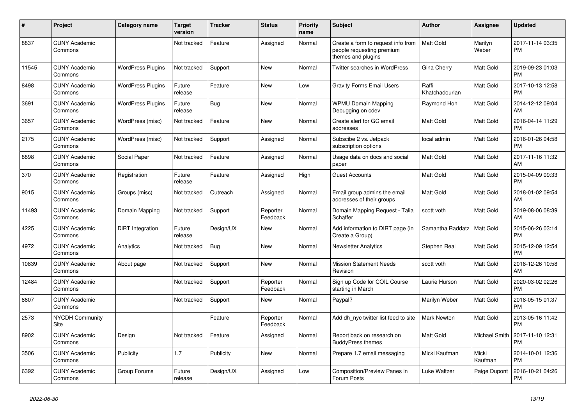| #     | Project                         | <b>Category name</b>     | <b>Target</b><br>version | <b>Tracker</b> | <b>Status</b>        | <b>Priority</b><br>name | <b>Subject</b>                                                                        | <b>Author</b>           | <b>Assignee</b>  | <b>Updated</b>                |
|-------|---------------------------------|--------------------------|--------------------------|----------------|----------------------|-------------------------|---------------------------------------------------------------------------------------|-------------------------|------------------|-------------------------------|
| 8837  | <b>CUNY Academic</b><br>Commons |                          | Not tracked              | Feature        | Assigned             | Normal                  | Create a form to request info from<br>people requesting premium<br>themes and plugins | <b>Matt Gold</b>        | Marilyn<br>Weber | 2017-11-14 03:35<br><b>PM</b> |
| 11545 | <b>CUNY Academic</b><br>Commons | <b>WordPress Plugins</b> | Not tracked              | Support        | <b>New</b>           | Normal                  | Twitter searches in WordPress                                                         | Gina Cherry             | <b>Matt Gold</b> | 2019-09-23 01:03<br><b>PM</b> |
| 8498  | <b>CUNY Academic</b><br>Commons | <b>WordPress Plugins</b> | Future<br>release        | Feature        | <b>New</b>           | Low                     | <b>Gravity Forms Email Users</b>                                                      | Raffi<br>Khatchadourian | Matt Gold        | 2017-10-13 12:58<br><b>PM</b> |
| 3691  | <b>CUNY Academic</b><br>Commons | <b>WordPress Plugins</b> | Future<br>release        | Bug            | New                  | Normal                  | <b>WPMU Domain Mapping</b><br>Debugging on cdev                                       | Raymond Hoh             | <b>Matt Gold</b> | 2014-12-12 09:04<br>AM        |
| 3657  | <b>CUNY Academic</b><br>Commons | WordPress (misc)         | Not tracked              | Feature        | <b>New</b>           | Normal                  | Create alert for GC email<br>addresses                                                | <b>Matt Gold</b>        | <b>Matt Gold</b> | 2016-04-14 11:29<br><b>PM</b> |
| 2175  | <b>CUNY Academic</b><br>Commons | WordPress (misc)         | Not tracked              | Support        | Assigned             | Normal                  | Subscibe 2 vs. Jetpack<br>subscription options                                        | local admin             | Matt Gold        | 2016-01-26 04:58<br><b>PM</b> |
| 8898  | <b>CUNY Academic</b><br>Commons | Social Paper             | Not tracked              | Feature        | Assigned             | Normal                  | Usage data on docs and social<br>paper                                                | Matt Gold               | <b>Matt Gold</b> | 2017-11-16 11:32<br>AM        |
| 370   | <b>CUNY Academic</b><br>Commons | Registration             | Future<br>release        | Feature        | Assigned             | High                    | <b>Guest Accounts</b>                                                                 | <b>Matt Gold</b>        | Matt Gold        | 2015-04-09 09:33<br><b>PM</b> |
| 9015  | <b>CUNY Academic</b><br>Commons | Groups (misc)            | Not tracked              | Outreach       | Assigned             | Normal                  | Email group admins the email<br>addresses of their groups                             | <b>Matt Gold</b>        | <b>Matt Gold</b> | 2018-01-02 09:54<br>AM        |
| 11493 | <b>CUNY Academic</b><br>Commons | Domain Mapping           | Not tracked              | Support        | Reporter<br>Feedback | Normal                  | Domain Mapping Request - Talia<br>Schaffer                                            | scott voth              | <b>Matt Gold</b> | 2019-08-06 08:39<br>AM        |
| 4225  | <b>CUNY Academic</b><br>Commons | DiRT Integration         | Future<br>release        | Design/UX      | New                  | Normal                  | Add information to DIRT page (in<br>Create a Group)                                   | Samantha Raddatz        | <b>Matt Gold</b> | 2015-06-26 03:14<br><b>PM</b> |
| 4972  | <b>CUNY Academic</b><br>Commons | Analytics                | Not tracked              | Bug            | <b>New</b>           | Normal                  | <b>Newsletter Analytics</b>                                                           | Stephen Real            | <b>Matt Gold</b> | 2015-12-09 12:54<br><b>PM</b> |
| 10839 | <b>CUNY Academic</b><br>Commons | About page               | Not tracked              | Support        | <b>New</b>           | Normal                  | <b>Mission Statement Needs</b><br>Revision                                            | scott voth              | <b>Matt Gold</b> | 2018-12-26 10:58<br>AM        |
| 12484 | <b>CUNY Academic</b><br>Commons |                          | Not tracked              | Support        | Reporter<br>Feedback | Normal                  | Sign up Code for COIL Course<br>starting in March                                     | Laurie Hurson           | <b>Matt Gold</b> | 2020-03-02 02:26<br><b>PM</b> |
| 8607  | <b>CUNY Academic</b><br>Commons |                          | Not tracked              | Support        | <b>New</b>           | Normal                  | Paypal?                                                                               | Marilyn Weber           | Matt Gold        | 2018-05-15 01:37<br><b>PM</b> |
| 2573  | <b>NYCDH Community</b><br>Site  |                          |                          | Feature        | Reporter<br>Feedback | Normal                  | Add dh_nyc twitter list feed to site                                                  | Mark Newton             | Matt Gold        | 2013-05-16 11:42<br><b>PM</b> |
| 8902  | <b>CUNY Academic</b><br>Commons | Design                   | Not tracked              | Feature        | Assigned             | Normal                  | Report back on research on<br><b>BuddyPress themes</b>                                | Matt Gold               | Michael Smith    | 2017-11-10 12:31<br><b>PM</b> |
| 3506  | <b>CUNY Academic</b><br>Commons | Publicity                | 1.7                      | Publicity      | <b>New</b>           | Normal                  | Prepare 1.7 email messaging                                                           | Micki Kaufman           | Micki<br>Kaufman | 2014-10-01 12:36<br><b>PM</b> |
| 6392  | <b>CUNY Academic</b><br>Commons | Group Forums             | Future<br>release        | Design/UX      | Assigned             | Low                     | Composition/Preview Panes in<br>Forum Posts                                           | Luke Waltzer            | Paige Dupont     | 2016-10-21 04:26<br><b>PM</b> |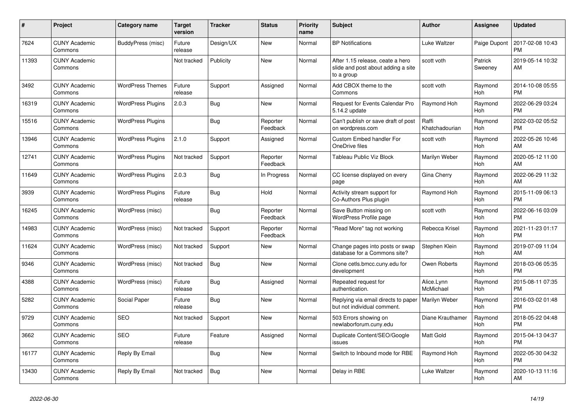| #     | <b>Project</b>                  | Category name            | <b>Target</b><br>version | <b>Tracker</b> | <b>Status</b>        | <b>Priority</b><br>name | <b>Subject</b>                                                                       | <b>Author</b>           | Assignee           | <b>Updated</b>                |
|-------|---------------------------------|--------------------------|--------------------------|----------------|----------------------|-------------------------|--------------------------------------------------------------------------------------|-------------------------|--------------------|-------------------------------|
| 7624  | <b>CUNY Academic</b><br>Commons | BuddyPress (misc)        | Future<br>release        | Design/UX      | New                  | Normal                  | <b>BP</b> Notifications                                                              | Luke Waltzer            | Paige Dupont       | 2017-02-08 10:43<br><b>PM</b> |
| 11393 | <b>CUNY Academic</b><br>Commons |                          | Not tracked              | Publicity      | New                  | Normal                  | After 1.15 release, ceate a hero<br>slide and post about adding a site<br>to a group | scott voth              | Patrick<br>Sweeney | 2019-05-14 10:32<br>AM        |
| 3492  | <b>CUNY Academic</b><br>Commons | <b>WordPress Themes</b>  | Future<br>release        | Support        | Assigned             | Normal                  | Add CBOX theme to the<br>Commons                                                     | scott voth              | Raymond<br>Hoh     | 2014-10-08 05:55<br><b>PM</b> |
| 16319 | <b>CUNY Academic</b><br>Commons | <b>WordPress Plugins</b> | 2.0.3                    | <b>Bug</b>     | <b>New</b>           | Normal                  | Request for Events Calendar Pro<br>5.14.2 update                                     | Raymond Hoh             | Raymond<br>Hoh     | 2022-06-29 03:24<br><b>PM</b> |
| 15516 | <b>CUNY Academic</b><br>Commons | <b>WordPress Plugins</b> |                          | Bug            | Reporter<br>Feedback | Normal                  | Can't publish or save draft of post<br>on wordpress.com                              | Raffi<br>Khatchadourian | Raymond<br>Hoh     | 2022-03-02 05:52<br><b>PM</b> |
| 13946 | <b>CUNY Academic</b><br>Commons | <b>WordPress Plugins</b> | 2.1.0                    | Support        | Assigned             | Normal                  | Custom Embed handler For<br>OneDrive files                                           | scott voth              | Raymond<br>Hoh     | 2022-05-26 10:46<br>AM        |
| 12741 | <b>CUNY Academic</b><br>Commons | <b>WordPress Plugins</b> | Not tracked              | Support        | Reporter<br>Feedback | Normal                  | Tableau Public Viz Block                                                             | Marilyn Weber           | Raymond<br>Hoh     | 2020-05-12 11:00<br>AM        |
| 11649 | <b>CUNY Academic</b><br>Commons | <b>WordPress Plugins</b> | 2.0.3                    | Bug            | In Progress          | Normal                  | CC license displayed on every<br>page                                                | Gina Cherry             | Raymond<br>Hoh     | 2022-06-29 11:32<br>AM        |
| 3939  | <b>CUNY Academic</b><br>Commons | <b>WordPress Plugins</b> | Future<br>release        | Bug            | Hold                 | Normal                  | Activity stream support for<br>Co-Authors Plus plugin                                | Raymond Hoh             | Raymond<br>Hoh     | 2015-11-09 06:13<br><b>PM</b> |
| 16245 | <b>CUNY Academic</b><br>Commons | WordPress (misc)         |                          | Bug            | Reporter<br>Feedback | Normal                  | Save Button missing on<br>WordPress Profile page                                     | scott voth              | Raymond<br>Hoh     | 2022-06-16 03:09<br><b>PM</b> |
| 14983 | <b>CUNY Academic</b><br>Commons | WordPress (misc)         | Not tracked              | Support        | Reporter<br>Feedback | Normal                  | "Read More" tag not working                                                          | Rebecca Krisel          | Raymond<br>Hoh     | 2021-11-23 01:17<br><b>PM</b> |
| 11624 | <b>CUNY Academic</b><br>Commons | WordPress (misc)         | Not tracked              | Support        | New                  | Normal                  | Change pages into posts or swap<br>database for a Commons site?                      | Stephen Klein           | Raymond<br>Hoh     | 2019-07-09 11:04<br>AM        |
| 9346  | <b>CUNY Academic</b><br>Commons | WordPress (misc)         | Not tracked              | Bug            | <b>New</b>           | Normal                  | Clone cetls.bmcc.cuny.edu for<br>development                                         | Owen Roberts            | Raymond<br>Hoh     | 2018-03-06 05:35<br><b>PM</b> |
| 4388  | <b>CUNY Academic</b><br>Commons | WordPress (misc)         | Future<br>release        | Bug            | Assigned             | Normal                  | Repeated request for<br>authentication.                                              | Alice.Lynn<br>McMichael | Raymond<br>Hoh     | 2015-08-11 07:35<br><b>PM</b> |
| 5282  | <b>CUNY Academic</b><br>Commons | Social Paper             | Future<br>release        | Bug            | New                  | Normal                  | Replying via email directs to paper<br>but not individual comment.                   | Marilyn Weber           | Raymond<br>Hoh     | 2016-03-02 01:48<br><b>PM</b> |
| 9729  | <b>CUNY Academic</b><br>Commons | <b>SEO</b>               | Not tracked              | Support        | <b>New</b>           | Normal                  | 503 Errors showing on<br>newlaborforum.cuny.edu                                      | Diane Krauthamer        | Raymond<br>Hoh     | 2018-05-22 04:48<br><b>PM</b> |
| 3662  | <b>CUNY Academic</b><br>Commons | <b>SEO</b>               | Future<br>release        | Feature        | Assigned             | Normal                  | Duplicate Content/SEO/Google<br>issues                                               | <b>Matt Gold</b>        | Raymond<br>Hoh     | 2015-04-13 04:37<br><b>PM</b> |
| 16177 | <b>CUNY Academic</b><br>Commons | Reply By Email           |                          | Bug            | New                  | Normal                  | Switch to Inbound mode for RBE                                                       | Raymond Hoh             | Raymond<br>Hoh     | 2022-05-30 04:32<br><b>PM</b> |
| 13430 | <b>CUNY Academic</b><br>Commons | Reply By Email           | Not tracked              | <b>Bug</b>     | <b>New</b>           | Normal                  | Delay in RBE                                                                         | Luke Waltzer            | Raymond<br>Hoh     | 2020-10-13 11:16<br>AM        |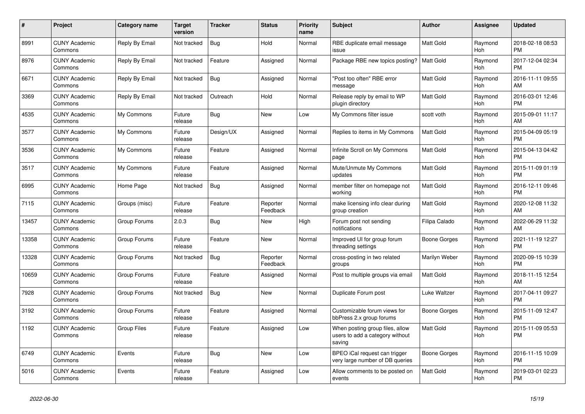| $\pmb{\#}$ | <b>Project</b>                  | <b>Category name</b> | Target<br>version | <b>Tracker</b> | <b>Status</b>        | <b>Priority</b><br>name | <b>Subject</b>                                                               | Author           | Assignee              | <b>Updated</b>                |
|------------|---------------------------------|----------------------|-------------------|----------------|----------------------|-------------------------|------------------------------------------------------------------------------|------------------|-----------------------|-------------------------------|
| 8991       | <b>CUNY Academic</b><br>Commons | Reply By Email       | Not tracked       | Bug            | Hold                 | Normal                  | RBE duplicate email message<br>issue                                         | <b>Matt Gold</b> | Raymond<br><b>Hoh</b> | 2018-02-18 08:53<br><b>PM</b> |
| 8976       | <b>CUNY Academic</b><br>Commons | Reply By Email       | Not tracked       | Feature        | Assigned             | Normal                  | Package RBE new topics posting?                                              | Matt Gold        | Raymond<br>Hoh        | 2017-12-04 02:34<br><b>PM</b> |
| 6671       | <b>CUNY Academic</b><br>Commons | Reply By Email       | Not tracked       | Bug            | Assigned             | Normal                  | "Post too often" RBE error<br>message                                        | <b>Matt Gold</b> | Raymond<br>Hoh        | 2016-11-11 09:55<br>AM        |
| 3369       | <b>CUNY Academic</b><br>Commons | Reply By Email       | Not tracked       | Outreach       | Hold                 | Normal                  | Release reply by email to WP<br>plugin directory                             | Matt Gold        | Raymond<br>Hoh        | 2016-03-01 12:46<br><b>PM</b> |
| 4535       | <b>CUNY Academic</b><br>Commons | My Commons           | Future<br>release | Bug            | New                  | Low                     | My Commons filter issue                                                      | scott voth       | Raymond<br>Hoh        | 2015-09-01 11:17<br>AM        |
| 3577       | <b>CUNY Academic</b><br>Commons | My Commons           | Future<br>release | Design/UX      | Assigned             | Normal                  | Replies to items in My Commons                                               | <b>Matt Gold</b> | Raymond<br>Hoh        | 2015-04-09 05:19<br><b>PM</b> |
| 3536       | <b>CUNY Academic</b><br>Commons | My Commons           | Future<br>release | Feature        | Assigned             | Normal                  | Infinite Scroll on My Commons<br>page                                        | <b>Matt Gold</b> | Raymond<br><b>Hoh</b> | 2015-04-13 04:42<br><b>PM</b> |
| 3517       | <b>CUNY Academic</b><br>Commons | My Commons           | Future<br>release | Feature        | Assigned             | Normal                  | Mute/Unmute My Commons<br>updates                                            | <b>Matt Gold</b> | Raymond<br>Hoh        | 2015-11-09 01:19<br>PM.       |
| 6995       | <b>CUNY Academic</b><br>Commons | Home Page            | Not tracked       | <b>Bug</b>     | Assigned             | Normal                  | member filter on homepage not<br>working                                     | <b>Matt Gold</b> | Raymond<br>Hoh        | 2016-12-11 09:46<br><b>PM</b> |
| 7115       | <b>CUNY Academic</b><br>Commons | Groups (misc)        | Future<br>release | Feature        | Reporter<br>Feedback | Normal                  | make licensing info clear during<br>group creation                           | <b>Matt Gold</b> | Raymond<br>Hoh        | 2020-12-08 11:32<br>AM        |
| 13457      | <b>CUNY Academic</b><br>Commons | Group Forums         | 2.0.3             | <b>Bug</b>     | <b>New</b>           | High                    | Forum post not sending<br>notifications                                      | Filipa Calado    | Raymond<br>Hoh        | 2022-06-29 11:32<br>AM.       |
| 13358      | <b>CUNY Academic</b><br>Commons | Group Forums         | Future<br>release | Feature        | New                  | Normal                  | Improved UI for group forum<br>threading settings                            | Boone Gorges     | Raymond<br>Hoh        | 2021-11-19 12:27<br><b>PM</b> |
| 13328      | <b>CUNY Academic</b><br>Commons | Group Forums         | Not tracked       | Bug            | Reporter<br>Feedback | Normal                  | cross-posting in two related<br>groups                                       | Marilyn Weber    | Raymond<br><b>Hoh</b> | 2020-09-15 10:39<br><b>PM</b> |
| 10659      | <b>CUNY Academic</b><br>Commons | Group Forums         | Future<br>release | Feature        | Assigned             | Normal                  | Post to multiple groups via email                                            | <b>Matt Gold</b> | Raymond<br>Hoh        | 2018-11-15 12:54<br>AM        |
| 7928       | <b>CUNY Academic</b><br>Commons | Group Forums         | Not tracked       | Bug            | <b>New</b>           | Normal                  | Duplicate Forum post                                                         | Luke Waltzer     | Raymond<br>Hoh        | 2017-04-11 09:27<br><b>PM</b> |
| 3192       | <b>CUNY Academic</b><br>Commons | Group Forums         | Future<br>release | Feature        | Assigned             | Normal                  | Customizable forum views for<br>bbPress 2.x group forums                     | Boone Gorges     | Raymond<br>Hoh        | 2015-11-09 12:47<br><b>PM</b> |
| 1192       | <b>CUNY Academic</b><br>Commons | <b>Group Files</b>   | Future<br>release | Feature        | Assigned             | Low                     | When posting group files, allow<br>users to add a category without<br>saving | <b>Matt Gold</b> | Raymond<br>Hoh        | 2015-11-09 05:53<br><b>PM</b> |
| 6749       | <b>CUNY Academic</b><br>Commons | Events               | Future<br>release | Bug            | New                  | Low                     | BPEO iCal request can trigger<br>very large number of DB queries             | Boone Gorges     | Raymond<br>Hoh        | 2016-11-15 10:09<br><b>PM</b> |
| 5016       | <b>CUNY Academic</b><br>Commons | Events               | Future<br>release | Feature        | Assigned             | Low                     | Allow comments to be posted on<br>events                                     | <b>Matt Gold</b> | Raymond<br>Hoh        | 2019-03-01 02:23<br><b>PM</b> |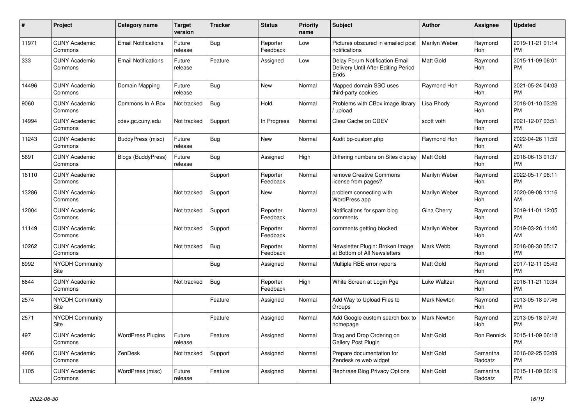| #     | <b>Project</b>                  | Category name              | <b>Target</b><br>version | <b>Tracker</b> | <b>Status</b>        | <b>Priority</b><br>name | <b>Subject</b>                                                                | <b>Author</b>      | Assignee            | <b>Updated</b>                |
|-------|---------------------------------|----------------------------|--------------------------|----------------|----------------------|-------------------------|-------------------------------------------------------------------------------|--------------------|---------------------|-------------------------------|
| 11971 | <b>CUNY Academic</b><br>Commons | <b>Email Notifications</b> | Future<br>release        | Bug            | Reporter<br>Feedback | Low                     | Pictures obscured in emailed post<br>notifications                            | Marilyn Weber      | Raymond<br>Hoh      | 2019-11-21 01:14<br><b>PM</b> |
| 333   | <b>CUNY Academic</b><br>Commons | <b>Email Notifications</b> | Future<br>release        | Feature        | Assigned             | Low                     | Delay Forum Notification Email<br>Delivery Until After Editing Period<br>Ends | <b>Matt Gold</b>   | Raymond<br>Hoh      | 2015-11-09 06:01<br><b>PM</b> |
| 14496 | <b>CUNY Academic</b><br>Commons | Domain Mapping             | Future<br>release        | Bug            | <b>New</b>           | Normal                  | Mapped domain SSO uses<br>third-party cookies                                 | Raymond Hoh        | Raymond<br>Hoh      | 2021-05-24 04:03<br><b>PM</b> |
| 9060  | <b>CUNY Academic</b><br>Commons | Commons In A Box           | Not tracked              | Bug            | Hold                 | Normal                  | Problems with CBox image library<br>upload                                    | Lisa Rhody         | Raymond<br>Hoh      | 2018-01-10 03:26<br><b>PM</b> |
| 14994 | <b>CUNY Academic</b><br>Commons | cdev.gc.cuny.edu           | Not tracked              | Support        | In Progress          | Normal                  | Clear Cache on CDEV                                                           | scott voth         | Raymond<br>Hoh      | 2021-12-07 03:51<br><b>PM</b> |
| 11243 | <b>CUNY Academic</b><br>Commons | BuddyPress (misc)          | Future<br>release        | Bug            | <b>New</b>           | Normal                  | Audit bp-custom.php                                                           | Raymond Hoh        | Raymond<br>Hoh      | 2022-04-26 11:59<br>AM        |
| 5691  | <b>CUNY Academic</b><br>Commons | Blogs (BuddyPress)         | Future<br>release        | Bug            | Assigned             | High                    | Differing numbers on Sites display                                            | <b>Matt Gold</b>   | Raymond<br>Hoh      | 2016-06-13 01:37<br><b>PM</b> |
| 16110 | <b>CUNY Academic</b><br>Commons |                            |                          | Support        | Reporter<br>Feedback | Normal                  | remove Creative Commons<br>license from pages?                                | Marilyn Weber      | Raymond<br>Hoh      | 2022-05-17 06:11<br><b>PM</b> |
| 13286 | <b>CUNY Academic</b><br>Commons |                            | Not tracked              | Support        | New                  | Normal                  | problem connecting with<br>WordPress app                                      | Marilyn Weber      | Raymond<br>Hoh      | 2020-09-08 11:16<br>AM        |
| 12004 | <b>CUNY Academic</b><br>Commons |                            | Not tracked              | Support        | Reporter<br>Feedback | Normal                  | Notifications for spam blog<br>comments                                       | Gina Cherry        | Raymond<br>Hoh      | 2019-11-01 12:05<br><b>PM</b> |
| 11149 | <b>CUNY Academic</b><br>Commons |                            | Not tracked              | Support        | Reporter<br>Feedback | Normal                  | comments getting blocked                                                      | Marilyn Weber      | Raymond<br>Hoh      | 2019-03-26 11:40<br>AM        |
| 10262 | <b>CUNY Academic</b><br>Commons |                            | Not tracked              | Bug            | Reporter<br>Feedback | Normal                  | Newsletter Plugin: Broken Image<br>at Bottom of All Newsletters               | Mark Webb          | Raymond<br>Hoh      | 2018-08-30 05:17<br><b>PM</b> |
| 8992  | <b>NYCDH Community</b><br>Site  |                            |                          | <b>Bug</b>     | Assigned             | Normal                  | Multiple RBE error reports                                                    | <b>Matt Gold</b>   | Raymond<br>Hoh      | 2017-12-11 05:43<br><b>PM</b> |
| 6644  | <b>CUNY Academic</b><br>Commons |                            | Not tracked              | <b>Bug</b>     | Reporter<br>Feedback | High                    | White Screen at Login Pge                                                     | Luke Waltzer       | Raymond<br>Hoh      | 2016-11-21 10:34<br><b>PM</b> |
| 2574  | <b>NYCDH Community</b><br>Site  |                            |                          | Feature        | Assigned             | Normal                  | Add Way to Upload Files to<br>Groups                                          | <b>Mark Newton</b> | Raymond<br>Hoh      | 2013-05-18 07:46<br><b>PM</b> |
| 2571  | NYCDH Community<br>Site         |                            |                          | Feature        | Assigned             | Normal                  | Add Google custom search box to<br>homepage                                   | <b>Mark Newton</b> | Raymond<br>Hoh      | 2013-05-18 07:49<br><b>PM</b> |
| 497   | <b>CUNY Academic</b><br>Commons | <b>WordPress Plugins</b>   | Future<br>release        | Feature        | Assigned             | Normal                  | Drag and Drop Ordering on<br>Gallery Post Plugin                              | <b>Matt Gold</b>   | Ron Rennick         | 2015-11-09 06:18<br><b>PM</b> |
| 4986  | <b>CUNY Academic</b><br>Commons | ZenDesk                    | Not tracked              | Support        | Assigned             | Normal                  | Prepare documentation for<br>Zendesk re web widget                            | <b>Matt Gold</b>   | Samantha<br>Raddatz | 2016-02-25 03:09<br><b>PM</b> |
| 1105  | <b>CUNY Academic</b><br>Commons | WordPress (misc)           | Future<br>release        | Feature        | Assigned             | Normal                  | Rephrase Blog Privacy Options                                                 | <b>Matt Gold</b>   | Samantha<br>Raddatz | 2015-11-09 06:19<br><b>PM</b> |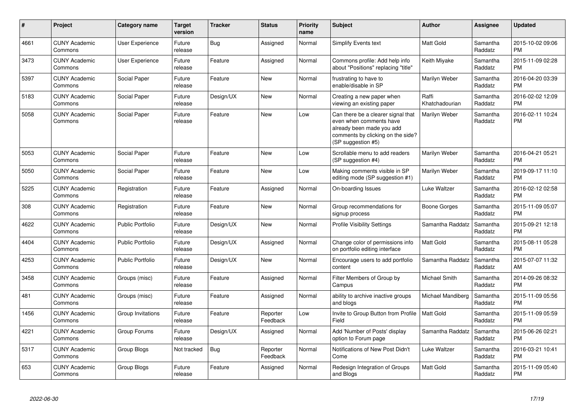| #    | <b>Project</b>                  | Category name           | <b>Target</b><br>version | <b>Tracker</b> | <b>Status</b>        | <b>Priority</b><br>name | <b>Subject</b>                                                                                                                                        | <b>Author</b>           | <b>Assignee</b>     | <b>Updated</b>                |
|------|---------------------------------|-------------------------|--------------------------|----------------|----------------------|-------------------------|-------------------------------------------------------------------------------------------------------------------------------------------------------|-------------------------|---------------------|-------------------------------|
| 4661 | <b>CUNY Academic</b><br>Commons | User Experience         | Future<br>release        | Bug            | Assigned             | Normal                  | <b>Simplify Events text</b>                                                                                                                           | <b>Matt Gold</b>        | Samantha<br>Raddatz | 2015-10-02 09:06<br><b>PM</b> |
| 3473 | <b>CUNY Academic</b><br>Commons | User Experience         | Future<br>release        | Feature        | Assigned             | Normal                  | Commons profile: Add help info<br>about "Positions" replacing "title"                                                                                 | Keith Miyake            | Samantha<br>Raddatz | 2015-11-09 02:28<br><b>PM</b> |
| 5397 | <b>CUNY Academic</b><br>Commons | Social Paper            | Future<br>release        | Feature        | New                  | Normal                  | frustrating to have to<br>enable/disable in SP                                                                                                        | Marilyn Weber           | Samantha<br>Raddatz | 2016-04-20 03:39<br><b>PM</b> |
| 5183 | <b>CUNY Academic</b><br>Commons | Social Paper            | Future<br>release        | Design/UX      | <b>New</b>           | Normal                  | Creating a new paper when<br>viewing an existing paper                                                                                                | Raffi<br>Khatchadourian | Samantha<br>Raddatz | 2016-02-02 12:09<br><b>PM</b> |
| 5058 | <b>CUNY Academic</b><br>Commons | Social Paper            | Future<br>release        | Feature        | <b>New</b>           | Low                     | Can there be a clearer signal that<br>even when comments have<br>already been made you add<br>comments by clicking on the side?<br>(SP suggestion #5) | Marilyn Weber           | Samantha<br>Raddatz | 2016-02-11 10:24<br><b>PM</b> |
| 5053 | <b>CUNY Academic</b><br>Commons | Social Paper            | Future<br>release        | Feature        | New                  | Low                     | Scrollable menu to add readers<br>(SP suggestion #4)                                                                                                  | Marilyn Weber           | Samantha<br>Raddatz | 2016-04-21 05:21<br><b>PM</b> |
| 5050 | <b>CUNY Academic</b><br>Commons | Social Paper            | Future<br>release        | Feature        | <b>New</b>           | Low                     | Making comments visible in SP<br>editing mode (SP suggestion #1)                                                                                      | Marilyn Weber           | Samantha<br>Raddatz | 2019-09-17 11:10<br><b>PM</b> |
| 5225 | <b>CUNY Academic</b><br>Commons | Registration            | Future<br>release        | Feature        | Assigned             | Normal                  | On-boarding Issues                                                                                                                                    | Luke Waltzer            | Samantha<br>Raddatz | 2016-02-12 02:58<br><b>PM</b> |
| 308  | <b>CUNY Academic</b><br>Commons | Registration            | Future<br>release        | Feature        | <b>New</b>           | Normal                  | Group recommendations for<br>signup process                                                                                                           | Boone Gorges            | Samantha<br>Raddatz | 2015-11-09 05:07<br><b>PM</b> |
| 4622 | <b>CUNY Academic</b><br>Commons | <b>Public Portfolio</b> | Future<br>release        | Design/UX      | <b>New</b>           | Normal                  | <b>Profile Visibility Settings</b>                                                                                                                    | Samantha Raddatz        | Samantha<br>Raddatz | 2015-09-21 12:18<br><b>PM</b> |
| 4404 | <b>CUNY Academic</b><br>Commons | <b>Public Portfolio</b> | Future<br>release        | Design/UX      | Assigned             | Normal                  | Change color of permissions info<br>on portfolio editing interface                                                                                    | <b>Matt Gold</b>        | Samantha<br>Raddatz | 2015-08-11 05:28<br><b>PM</b> |
| 4253 | <b>CUNY Academic</b><br>Commons | <b>Public Portfolio</b> | Future<br>release        | Design/UX      | <b>New</b>           | Normal                  | Encourage users to add portfolio<br>content                                                                                                           | Samantha Raddatz        | Samantha<br>Raddatz | 2015-07-07 11:32<br>AM        |
| 3458 | <b>CUNY Academic</b><br>Commons | Groups (misc)           | Future<br>release        | Feature        | Assigned             | Normal                  | Filter Members of Group by<br>Campus                                                                                                                  | Michael Smith           | Samantha<br>Raddatz | 2014-09-26 08:32<br><b>PM</b> |
| 481  | <b>CUNY Academic</b><br>Commons | Groups (misc)           | Future<br>release        | Feature        | Assigned             | Normal                  | ability to archive inactive groups<br>and blogs                                                                                                       | Michael Mandiberg       | Samantha<br>Raddatz | 2015-11-09 05:56<br><b>PM</b> |
| 1456 | <b>CUNY Academic</b><br>Commons | Group Invitations       | Future<br>release        | Feature        | Reporter<br>Feedback | Low                     | Invite to Group Button from Profile<br>Field                                                                                                          | Matt Gold               | Samantha<br>Raddatz | 2015-11-09 05:59<br><b>PM</b> |
| 4221 | <b>CUNY Academic</b><br>Commons | Group Forums            | Future<br>release        | Design/UX      | Assigned             | Normal                  | Add 'Number of Posts' display<br>option to Forum page                                                                                                 | Samantha Raddatz        | Samantha<br>Raddatz | 2015-06-26 02:21<br><b>PM</b> |
| 5317 | <b>CUNY Academic</b><br>Commons | Group Blogs             | Not tracked              | Bug            | Reporter<br>Feedback | Normal                  | Notifications of New Post Didn't<br>Come                                                                                                              | Luke Waltzer            | Samantha<br>Raddatz | 2016-03-21 10:41<br><b>PM</b> |
| 653  | <b>CUNY Academic</b><br>Commons | Group Blogs             | Future<br>release        | Feature        | Assigned             | Normal                  | Redesign Integration of Groups<br>and Blogs                                                                                                           | <b>Matt Gold</b>        | Samantha<br>Raddatz | 2015-11-09 05:40<br><b>PM</b> |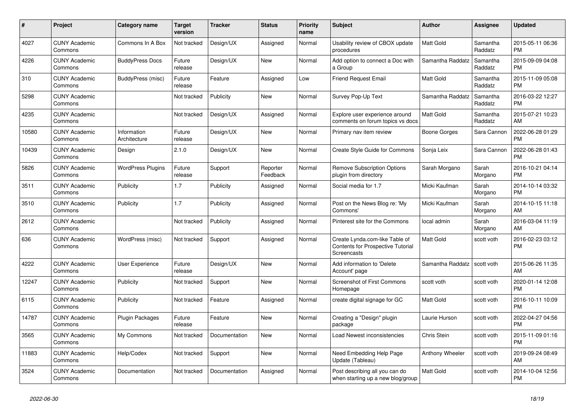| $\pmb{\#}$ | <b>Project</b>                  | <b>Category name</b>        | <b>Target</b><br>version | <b>Tracker</b> | <b>Status</b>        | <b>Priority</b><br>name | <b>Subject</b>                                                                                   | <b>Author</b>    | Assignee            | <b>Updated</b>                |
|------------|---------------------------------|-----------------------------|--------------------------|----------------|----------------------|-------------------------|--------------------------------------------------------------------------------------------------|------------------|---------------------|-------------------------------|
| 4027       | <b>CUNY Academic</b><br>Commons | Commons In A Box            | Not tracked              | Design/UX      | Assigned             | Normal                  | Usability review of CBOX update<br>procedures                                                    | <b>Matt Gold</b> | Samantha<br>Raddatz | 2015-05-11 06:36<br><b>PM</b> |
| 4226       | <b>CUNY Academic</b><br>Commons | <b>BuddyPress Docs</b>      | Future<br>release        | Design/UX      | New                  | Normal                  | Add option to connect a Doc with<br>a Group                                                      | Samantha Raddatz | Samantha<br>Raddatz | 2015-09-09 04:08<br><b>PM</b> |
| 310        | <b>CUNY Academic</b><br>Commons | BuddyPress (misc)           | Future<br>release        | Feature        | Assigned             | Low                     | <b>Friend Request Email</b>                                                                      | Matt Gold        | Samantha<br>Raddatz | 2015-11-09 05:08<br><b>PM</b> |
| 5298       | <b>CUNY Academic</b><br>Commons |                             | Not tracked              | Publicity      | <b>New</b>           | Normal                  | Survey Pop-Up Text                                                                               | Samantha Raddatz | Samantha<br>Raddatz | 2016-03-22 12:27<br><b>PM</b> |
| 4235       | <b>CUNY Academic</b><br>Commons |                             | Not tracked              | Design/UX      | Assigned             | Normal                  | Explore user experience around<br>comments on forum topics vs docs                               | <b>Matt Gold</b> | Samantha<br>Raddatz | 2015-07-21 10:23<br>AM        |
| 10580      | <b>CUNY Academic</b><br>Commons | Information<br>Architecture | Future<br>release        | Design/UX      | New                  | Normal                  | Primary nav item review                                                                          | Boone Gorges     | Sara Cannon         | 2022-06-28 01:29<br><b>PM</b> |
| 10439      | <b>CUNY Academic</b><br>Commons | Design                      | 2.1.0                    | Design/UX      | <b>New</b>           | Normal                  | Create Style Guide for Commons                                                                   | Sonja Leix       | Sara Cannon         | 2022-06-28 01:43<br><b>PM</b> |
| 5826       | <b>CUNY Academic</b><br>Commons | <b>WordPress Plugins</b>    | Future<br>release        | Support        | Reporter<br>Feedback | Normal                  | <b>Remove Subscription Options</b><br>plugin from directory                                      | Sarah Morgano    | Sarah<br>Morgano    | 2016-10-21 04:14<br>PM        |
| 3511       | <b>CUNY Academic</b><br>Commons | Publicity                   | 1.7                      | Publicity      | Assigned             | Normal                  | Social media for 1.7                                                                             | Micki Kaufman    | Sarah<br>Morgano    | 2014-10-14 03:32<br><b>PM</b> |
| 3510       | <b>CUNY Academic</b><br>Commons | Publicity                   | 1.7                      | Publicity      | Assigned             | Normal                  | Post on the News Blog re: 'My<br>Commons'                                                        | Micki Kaufman    | Sarah<br>Morgano    | 2014-10-15 11:18<br>AM        |
| 2612       | <b>CUNY Academic</b><br>Commons |                             | Not tracked              | Publicity      | Assigned             | Normal                  | Pinterest site for the Commons                                                                   | local admin      | Sarah<br>Morgano    | 2016-03-04 11:19<br>AM        |
| 636        | <b>CUNY Academic</b><br>Commons | WordPress (misc)            | Not tracked              | Support        | Assigned             | Normal                  | Create Lynda.com-like Table of<br><b>Contents for Prospective Tutorial</b><br><b>Screencasts</b> | Matt Gold        | scott voth          | 2016-02-23 03:12<br><b>PM</b> |
| 4222       | <b>CUNY Academic</b><br>Commons | User Experience             | Future<br>release        | Design/UX      | <b>New</b>           | Normal                  | Add information to 'Delete<br>Account' page                                                      | Samantha Raddatz | scott voth          | 2015-06-26 11:35<br>AM        |
| 12247      | <b>CUNY Academic</b><br>Commons | Publicity                   | Not tracked              | Support        | <b>New</b>           | Normal                  | Screenshot of First Commons<br>Homepage                                                          | scott voth       | scott voth          | 2020-01-14 12:08<br><b>PM</b> |
| 6115       | <b>CUNY Academic</b><br>Commons | <b>Publicity</b>            | Not tracked              | Feature        | Assigned             | Normal                  | create digital signage for GC                                                                    | Matt Gold        | scott voth          | 2016-10-11 10:09<br><b>PM</b> |
| 14787      | <b>CUNY Academic</b><br>Commons | <b>Plugin Packages</b>      | Future<br>release        | Feature        | <b>New</b>           | Normal                  | Creating a "Design" plugin<br>package                                                            | Laurie Hurson    | scott voth          | 2022-04-27 04:56<br><b>PM</b> |
| 3565       | <b>CUNY Academic</b><br>Commons | My Commons                  | Not tracked              | Documentation  | <b>New</b>           | Normal                  | Load Newest inconsistencies                                                                      | Chris Stein      | scott voth          | 2015-11-09 01:16<br><b>PM</b> |
| 11883      | <b>CUNY Academic</b><br>Commons | Help/Codex                  | Not tracked              | Support        | New                  | Normal                  | Need Embedding Help Page<br>Update (Tableau)                                                     | Anthony Wheeler  | scott voth          | 2019-09-24 08:49<br>AM        |
| 3524       | <b>CUNY Academic</b><br>Commons | Documentation               | Not tracked              | Documentation  | Assigned             | Normal                  | Post describing all you can do<br>when starting up a new blog/group                              | Matt Gold        | scott voth          | 2014-10-04 12:56<br><b>PM</b> |